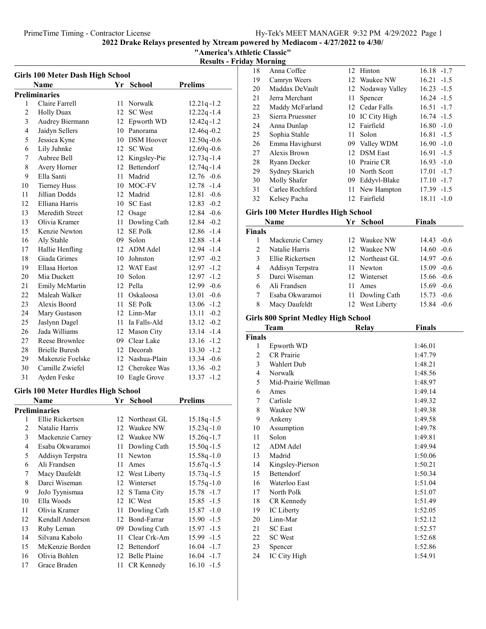"America's Athletic Classic"

Results - Friday Morning

| <b>Girls 100 Meter Dash High School</b> |                                     |                 |                   |                 |  |  |  |
|-----------------------------------------|-------------------------------------|-----------------|-------------------|-----------------|--|--|--|
|                                         | Name<br>Yr School<br><b>Prelims</b> |                 |                   |                 |  |  |  |
| <b>Preliminaries</b>                    |                                     |                 |                   |                 |  |  |  |
| 1                                       | Claire Farrell                      | 11              | Norwalk           | $12.21q - 1.2$  |  |  |  |
| $\overline{c}$                          | <b>Holly Duax</b>                   | 12              | <b>SC</b> West    | $12.22q - 1.4$  |  |  |  |
| 3                                       | Audrey Biermann                     | 12              | Epworth WD        | $12.42q - 1.2$  |  |  |  |
| $\overline{4}$                          | Jaidyn Sellers                      |                 | 10 Panorama       | 12.46q-0.2      |  |  |  |
| 5                                       | Jessica Kyne                        | 10              | <b>DSM</b> Hoover | $12.50q - 0.6$  |  |  |  |
| 6                                       | Lily Juhnke                         | 12              | <b>SC</b> West    | 12.69q-0.6      |  |  |  |
| $\overline{7}$                          | Aubree Bell                         |                 | 12 Kingsley-Pie   | $12.73q - 1.4$  |  |  |  |
| 8                                       | Avery Horner                        |                 | 12 Bettendorf     | $12.74q - 1.4$  |  |  |  |
| 9                                       | Ella Santi                          |                 | 11 Madrid         | $12.76 - 0.6$   |  |  |  |
| 10                                      | <b>Tierney Huss</b>                 |                 | 10 MOC-FV         | 12.78 -1.4      |  |  |  |
| 11                                      | Jillian Dodds                       |                 | 12 Madrid         | $12.81 - 0.6$   |  |  |  |
| 12                                      | Elliana Harris                      | 10 <sup>1</sup> | <b>SC</b> East    | $12.83 - 0.2$   |  |  |  |
| 13                                      | Meredith Street                     | 12              | Osage             | $12.84 - 0.6$   |  |  |  |
| 13                                      | Olivia Kramer                       |                 | 11 Dowling Cath   | 12.84 -0.2      |  |  |  |
| 15                                      | Kenzie Newton                       |                 | 12 SE Polk        | $12.86 - 1.4$   |  |  |  |
| 16                                      | Aly Stahle                          |                 | 09 Solon          | 12.88 -1.4      |  |  |  |
| 17                                      | Hallie Henfling                     |                 | 12 ADM Adel       | 12.94 -1.4      |  |  |  |
| 18                                      | Giada Grimes                        |                 | 10 Johnston       | $12.97 -0.2$    |  |  |  |
| 19                                      | Ellasa Horton                       | 12              | <b>WAT East</b>   | 12.97<br>$-1.2$ |  |  |  |
| 20                                      | Mia Duckett                         | 10              | Solon             | 12.97<br>$-1.2$ |  |  |  |
| 21                                      | Emily McMartin                      |                 | 12 Pella          | $-0.6$<br>12.99 |  |  |  |
| 22                                      | Maleah Walker                       | 11              | Oskaloosa         | 13.01<br>$-0.6$ |  |  |  |
| 23                                      | Alexis Boord                        | 11              | <b>SE Polk</b>    | $13.06 - 1.2$   |  |  |  |
| 24                                      | Mary Gustason                       |                 | 12 Linn-Mar       | $13.11 - 0.2$   |  |  |  |
| 25                                      | Jaslynn Dagel                       |                 | 11 Ia Falls-Ald   | $13.12 -0.2$    |  |  |  |
| 26                                      | Jada Williams                       |                 | 12 Mason City     | 13.14<br>$-1.4$ |  |  |  |
| 27                                      | <b>Reese Brownlee</b>               |                 | 09 Clear Lake     | 13.16<br>$-1.2$ |  |  |  |
| 28                                      | <b>Brielle Buresh</b>               |                 | 12 Decorah        | 13.30<br>$-1.2$ |  |  |  |
| 29                                      | Makenzie Foelske                    |                 | 12 Nashua-Plain   | $13.34 -0.6$    |  |  |  |
| 30                                      | Camille Zwiefel                     |                 | 12 Cherokee Was   | $13.36 - 0.2$   |  |  |  |
| 31                                      | Ayden Feske                         | 10              | Eagle Grove       | $13.37 - 1.2$   |  |  |  |
| CULL 100 MG  IT  IL  IT'LL C. L.  I     |                                     |                 |                   |                 |  |  |  |

#### Girls 100 Meter Hurdles High School

|                | Name             | Yr   | School          | <b>Prelims</b> |
|----------------|------------------|------|-----------------|----------------|
| Preliminaries  |                  |      |                 |                |
| 1              | Ellie Rickertsen |      | 12 Northeast GL | $15.18q - 1.5$ |
| $\overline{c}$ | Natalie Harris   | 12   | Waukee NW       | $15.23q - 1.0$ |
| 3              | Mackenzie Carney | 12   | Waukee NW       | $15.26q - 1.7$ |
| 4              | Esaba Okwaramoi  | 11   | Dowling Cath    | $15.50q - 1.5$ |
| 5              | Addisyn Terpstra | 11   | Newton          | $15.58q - 1.0$ |
| 6              | Ali Frandsen     | 11   | Ames            | $15.67q - 1.5$ |
| 7              | Macy Daufeldt    |      | 12 West Liberty | $15.73q - 1.5$ |
| 8              | Darci Wiseman    |      | 12 Winterset    | $15.75q - 1.0$ |
| 9              | JoJo Tyynismaa   |      | 12 S Tama City  | 15.78 -1.7     |
| 10             | Ella Woods       |      | 12 IC West      | $15.85 - 1.5$  |
| 11             | Olivia Kramer    | 11   | Dowling Cath    | $15.87 - 1.0$  |
| 12             | Kendall Anderson | 12   | Bond-Farrar     | $15.90 -1.5$   |
| 13             | Ruby Leman       | 09   | Dowling Cath    | $15.97 - 1.5$  |
| 14             | Silvana Kabolo   | 11   | Clear Crk-Am    | 15.99 -1.5     |
| 15             | McKenzie Borden  |      | 12 Bettendorf   | $16.04 - 1.7$  |
| 16             | Olivia Bohlen    |      | 12 Belle Plaine | $16.04 - 1.7$  |
| 17             | Grace Braden     | 11 - | CR Kennedy      | $16.10 - 1.5$  |

| 18 | Anna Coffee      |    | 12 Hinton         | $16.18 - 1.7$   |
|----|------------------|----|-------------------|-----------------|
| 19 | Camryn Weers     |    | 12 Waukee NW      | $16.21 - 1.5$   |
| 20 | Maddax DeVault   |    | 12 Nodaway Valley | $16.23 - 1.5$   |
| 21 | Jerra Merchant   | 11 | Spencer           | $16.24 - 1.5$   |
| 22 | Maddy McFarland  |    | 12 Cedar Falls    | $16.51 - 1.7$   |
| 23 | Sierra Pruessner |    | 10 IC City High   | $16.74 - 1.5$   |
| 24 | Anna Dunlap      |    | 12 Fairfield      | $16.80 - 1.0$   |
| 25 | Sophia Stahle    |    | 11 Solon          | $16.81 - 1.5$   |
| 26 | Emma Havighurst  |    | 09 Valley WDM     | $16.90 -1.0$    |
| 27 | Alexis Brown     |    | 12 DSM East       | $16.91 - 1.5$   |
| 28 | Ryann Decker     |    | 10 Prairie CR     | $16.93 - 1.0$   |
| 29 | Sydney Skarich   |    | 10 North Scott    | $17.01 - 1.7$   |
| 30 | Molly Shafer     | 09 | Eddyvl-Blake      | $17.10 - 1.7$   |
| 31 | Carlee Rochford  |    | 11 New Hampton    | $17.39 - 1.5$   |
| 32 | Kelsey Pacha     |    | 12 Fairfield      | 18.11<br>$-1.0$ |

#### Girls 100 Meter Hurdles High School

| Name           |                  | Yr School       | <b>Finals</b> |
|----------------|------------------|-----------------|---------------|
| <b>Finals</b>  |                  |                 |               |
|                | Mackenzie Carney | 12 Waukee NW    | $14.43 - 0.6$ |
| $\mathfrak{D}$ | Natalie Harris   | 12 Waukee NW    | $14.60 - 0.6$ |
| 3              | Ellie Rickertsen | 12 Northeast GL | $14.97 - 0.6$ |
| 4              | Addisyn Terpstra | 11 Newton       | $15.09 - 0.6$ |
| 5              | Darci Wiseman    | 12 Winterset    | $15.66 - 0.6$ |
| 6              | Ali Frandsen     | 11 Ames         | $15.69 - 0.6$ |
|                | Esaba Okwaramoi  | 11 Dowling Cath | $15.73 - 0.6$ |
| 8              | Macy Daufeldt    | 12 West Liberty | 15.84 -0.6    |

# Girls 800 Sprint Medley High School

|                | Team                | Relay | <b>Finals</b> |
|----------------|---------------------|-------|---------------|
| Finals         |                     |       |               |
| 1              | Epworth WD          |       | 1:46.01       |
| $\overline{2}$ | <b>CR</b> Prairie   |       | 1:47.79       |
| 3              | Wahlert Dub         |       | 1:48.21       |
| $\overline{4}$ | Norwalk             |       | 1:48.56       |
| 5              | Mid-Prairie Wellman |       | 1:48.97       |
| 6              | Ames                |       | 1:49.14       |
| 7              | Carlisle            |       | 1:49.32       |
| 8              | Waukee NW           |       | 1:49.38       |
| 9              | Ankeny              |       | 1:49.58       |
| 10             | Assumption          |       | 1:49.78       |
| 11             | Solon               |       | 1:49.81       |
| 12             | <b>ADM</b> Adel     |       | 1:49.94       |
| 13             | Madrid              |       | 1:50.06       |
| 14             | Kingsley-Pierson    |       | 1:50.21       |
| 15             | <b>Bettendorf</b>   |       | 1:50.34       |
| 16             | Waterloo East       |       | 1:51.04       |
| 17             | North Polk          |       | 1:51.07       |
| 18             | CR Kennedy          |       | 1:51.49       |
| 19             | IC Liberty          |       | 1:52.05       |
| 20             | Linn-Mar            |       | 1:52.12       |
| 21             | <b>SC</b> East      |       | 1:52.57       |
| 22             | <b>SC</b> West      |       | 1:52.68       |
| 23             | Spencer             |       | 1:52.86       |
| 24             | IC City High        |       | 1:54.91       |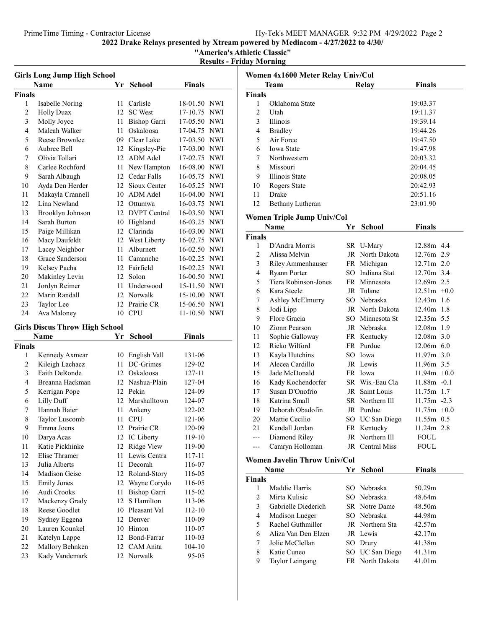"America's Athletic Classic"

Results - Friday Morning

| <b>Girls Long Jump High School</b> |                                       |      |                     |               |            |
|------------------------------------|---------------------------------------|------|---------------------|---------------|------------|
|                                    | Name                                  | Yr   | <b>School</b>       | <b>Finals</b> |            |
| <b>Finals</b>                      |                                       |      |                     |               |            |
| 1                                  | Isabelle Noring                       | 11   | Carlisle            | 18-01.50 NWI  |            |
| $\overline{2}$                     | <b>Holly Duax</b>                     | 12   | <b>SC</b> West      | 17-10.75      | <b>NWI</b> |
| 3                                  | Molly Joyce                           | 11   | Bishop Garri        | 17-05.50 NWI  |            |
| 4                                  | Maleah Walker                         | 11   | Oskaloosa           | 17-04.75      | <b>NWI</b> |
| 5                                  | Reese Brownlee                        |      | 09 Clear Lake       | 17-03.50 NWI  |            |
| 6                                  | Aubree Bell                           |      | 12 Kingsley-Pie     | 17-03.00 NWI  |            |
| 7                                  | Olivia Tollari                        | 12   | <b>ADM</b> Adel     | 17-02.75 NWI  |            |
| 8                                  | Carlee Rochford                       | 11   | New Hampton         | 16-08.00 NWI  |            |
| 9                                  | Sarah Albaugh                         |      | 12 Cedar Falls      | 16-05.75 NWI  |            |
| 10                                 | Ayda Den Herder                       | 12   | Sioux Center        | 16-05.25 NWI  |            |
| 11                                 | Makayla Crannell                      |      | 10 ADM Adel         | 16-04.00 NWI  |            |
| 12                                 | Lina Newland                          | 12   | Ottumwa             | 16-03.75 NWI  |            |
| 13                                 | Brooklyn Johnson                      | 12   | <b>DVPT</b> Central | 16-03.50 NWI  |            |
| 14                                 | Sarah Burton                          | 10   | Highland            | 16-03.25 NWI  |            |
| 15                                 | Paige Millikan                        | 12   | Clarinda            | 16-03.00 NWI  |            |
| 16                                 | Macy Daufeldt                         |      | 12 West Liberty     | 16-02.75      | <b>NWI</b> |
| 17                                 | Lacey Neighbor                        | 11-  | Alburnett           | 16-02.50 NWI  |            |
| 18                                 | Grace Sanderson                       | 11-  | Camanche            | 16-02.25 NWI  |            |
| 19                                 | Kelsey Pacha                          |      | 12 Fairfield        | 16-02.25 NWI  |            |
| 20                                 | Makinley Levin                        |      | 12 Solon            | 16-00.50 NWI  |            |
| 21                                 | Jordyn Reimer                         | 11 - | Underwood           | 15-11.50 NWI  |            |
| 22                                 | Marin Randall                         |      | 12 Norwalk          | 15-10.00 NWI  |            |
| 23                                 | Taylor Lee                            |      | 12 Prairie CR       | 15-06.50 NWI  |            |
| 24                                 | Ava Maloney                           | 10   | <b>CPU</b>          | 11-10.50 NWI  |            |
|                                    |                                       |      |                     |               |            |
|                                    | <b>Girls Discus Throw High School</b> |      |                     |               |            |
|                                    | Name                                  | Yr   | School              | Finals        |            |
| <b>Finals</b>                      |                                       |      |                     |               |            |
| 1                                  | Kennedy Axmear                        | 10   | English Vall        | 131-06        |            |
| 2                                  | Kileigh Lachacz                       | 11   | DC-Grimes           | 129-02        |            |
| 3                                  | <b>Faith DeRonde</b>                  | 12   | Oskaloosa           | 127-11        |            |
| $\overline{4}$                     | Breanna Hackman                       |      | 12 Nashua-Plain     | 127-04        |            |
| 5                                  | Kerrigan Pope                         |      | 12 Pekin            | 124-09        |            |
| 6                                  | <b>Lilly Duff</b>                     |      | 12 Marshalltown     | 124-07        |            |
| 7                                  | Hannah Baier                          | 11   | Ankeny              | 122-02        |            |
| 8                                  | Taylor Luscomb                        | 11   | <b>CPU</b>          | 121-06        |            |
| 9                                  | Emma Joens                            |      | 12 Prairie CR       | 120-09        |            |
| 10                                 | Darya Acas                            |      | 12 IC Liberty       | 119-10        |            |
| 11                                 | Katie Pickhinke                       | 12   | Ridge View          | 119-00        |            |
| 12                                 | Elise Thramer                         | 11   | Lewis Centra        | 117-11        |            |
| 13                                 | Julia Alberts                         | 11   | Decorah             | 116-07        |            |
| 14                                 | Madison Geise                         | 12   | Roland-Story        | 116-05        |            |
| 15                                 |                                       |      |                     |               |            |
|                                    | <b>Emily Jones</b>                    | 12   | Wayne Corydo        | 116-05        |            |
| 16                                 | Audi Crooks                           | 11   | Bishop Garri        | 115-02        |            |
| 17                                 | Mackenzy Grady                        | 12   | S Hamilton          | 113-06        |            |
| 18                                 | Reese Goodlet                         |      | 10 Pleasant Val     | 112-10        |            |
| 19                                 | Sydney Eggena                         |      | 12 Denver           | 110-09        |            |
| 20                                 | Lauren Kounkel                        |      | 10 Hinton           | 110-07        |            |
| 21                                 | Katelyn Lappe                         |      | 12 Bond-Farrar      | 110-03        |            |
| $22\,$                             | Mallory Behnken                       |      | 12 CAM Anita        | 104-10        |            |

| Women 4x1600 Meter Relay Univ/Col |                              |    |                 |                |  |
|-----------------------------------|------------------------------|----|-----------------|----------------|--|
|                                   | Team                         |    | <b>Relay</b>    | <b>Finals</b>  |  |
| Finals                            |                              |    |                 |                |  |
| 1                                 | Oklahoma State               |    |                 | 19:03.37       |  |
| $\overline{2}$                    | Utah                         |    |                 | 19:11.37       |  |
| 3                                 | Illinois                     |    |                 | 19:39.14       |  |
| 4                                 | <b>Bradley</b>               |    |                 | 19:44.26       |  |
| 5                                 | Air Force                    |    |                 | 19:47.50       |  |
| 6                                 | <b>Iowa State</b>            |    |                 | 19:47.98       |  |
| 7                                 | Northwestern                 |    |                 | 20:03.32       |  |
| 8                                 | Missouri                     |    |                 | 20:04.45       |  |
| 9                                 | Illinois State               |    |                 | 20:08.05       |  |
| 10                                | Rogers State                 |    |                 | 20:42.93       |  |
| 11                                | Drake                        |    |                 | 20:51.16       |  |
| 12                                | Bethany Lutheran             |    |                 | 23:01.90       |  |
|                                   | Women Triple Jump Univ/Col   |    |                 |                |  |
|                                   | Name                         | Yr | <b>School</b>   | <b>Finals</b>  |  |
| Finals                            |                              |    |                 |                |  |
| 1                                 | D'Andra Morris               |    | SR U-Mary       | 12.88m 4.4     |  |
| $\overline{c}$                    | Alissa Melvin                |    | JR North Dakota | 12.76m 2.9     |  |
| 3                                 | Riley Ammenhauser            |    | FR Michigan     | 12.71m 2.0     |  |
| $\overline{4}$                    | Ryann Porter                 |    | SO Indiana Stat | 12.70m 3.4     |  |
| 5                                 | Tiera Robinson-Jones         |    | FR Minnesota    | 12.69m 2.5     |  |
| 6                                 | Kara Steele                  |    | JR Tulane       | $12.51m +0.0$  |  |
| 7                                 | Ashley McElmurry             |    | SO Nebraska     | 12.43m 1.6     |  |
| 8                                 | Jodi Lipp                    |    | JR North Dakota | 12.40m 1.8     |  |
| 9                                 | Flore Gracia                 |    | SO Minnesota St | 12.35m 5.5     |  |
| 10                                | Zionn Pearson                |    | JR Nebraska     | 12.08m 1.9     |  |
| 11                                | Sophie Galloway              |    | FR Kentucky     | 12.08m 3.0     |  |
| 12                                | Rieko Wilford                |    | FR Purdue       | $12.06m$ 6.0   |  |
| 13                                | Kayla Hutchins               |    | SO Iowa         | 11.97m 3.0     |  |
| 14                                | Alecea Cardillo              |    | JR Lewis        | 11.96m 3.5     |  |
| 15                                | Jade McDonald                |    | FR Iowa         | $11.94m +0.0$  |  |
| 16                                | Kady Kochendorfer            |    | SR Wis.-Eau Cla | $11.88m - 0.1$ |  |
| 17                                | Susan D'Onofrio              |    | JR Saint Louis  | 11.75m 1.7     |  |
| 18                                | Katrina Small                |    | SR Northern Ill | $11.75m - 2.3$ |  |
| 19                                | Deborah Obadofin             |    | JR Purdue       | $11.75m +0.0$  |  |
| 20                                | Mattie Cecilio               |    | SO UC San Diego | 11.55m 0.5     |  |
| 21                                | Kendall Jordan               |    | FR Kentucky     | 11.24m 2.8     |  |
| ---                               | Diamond Riley                |    | JR Northern Ill | <b>FOUL</b>    |  |
| ---                               | Camryn Holloman              |    | JR Central Miss | <b>FOUL</b>    |  |
|                                   | Women Javelin Throw Univ/Col |    |                 |                |  |
|                                   | Name                         | Yr | School          | <b>Finals</b>  |  |
| Finals                            |                              |    |                 |                |  |
| 1                                 | Maddie Harris                |    | SO Nebraska     | 50.29m         |  |
| $\overline{2}$                    | Mirta Kulisic                |    | SO Nebraska     | 48.64m         |  |
| 3                                 | Gabrielle Diederich          |    | SR Notre Dame   | 48.50m         |  |
| 4                                 | Madison Lueger               |    | SO Nebraska     | 44.98m         |  |
| 5                                 | Rachel Guthmiller            |    | JR Northern Sta | 42.57m         |  |
| 6                                 | Aliza Van Den Elzen          |    | JR Lewis        | 42.17m         |  |
| 7                                 | Jolie McClellan              |    | SO Drury        | 41.38m         |  |
| 8                                 | Katie Cuneo                  |    | SO UC San Diego | 41.31m         |  |
| 9                                 | Taylor Leingang              |    | FR North Dakota | 41.01m         |  |
|                                   |                              |    |                 |                |  |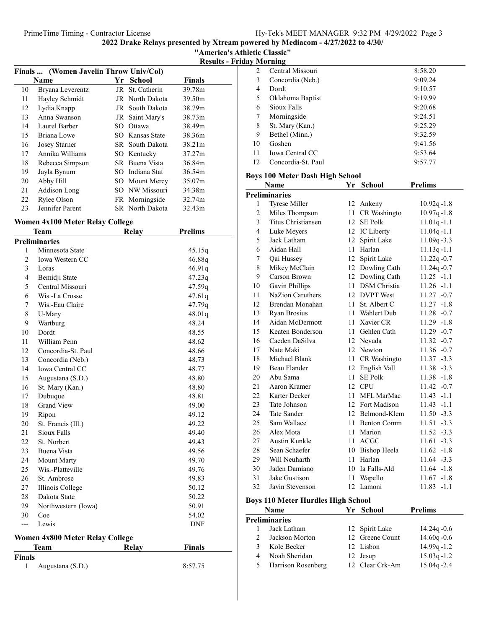"America's Athletic Classic"

Results - Friday Morning

| Finals  (Women Javelin Throw Univ/Col) |                      |     |                 |               |
|----------------------------------------|----------------------|-----|-----------------|---------------|
|                                        | <b>Name</b>          | Yr  | <b>School</b>   | <b>Finals</b> |
| 10                                     | Bryana Leverentz     |     | JR St. Catherin | 39.78m        |
| 11                                     | Hayley Schmidt       |     | JR North Dakota | 39.50m        |
| 12                                     | Lydia Knapp          |     | JR South Dakota | 38.79m        |
| 13                                     | Anna Swanson         |     | JR Saint Mary's | 38.73m        |
| 14                                     | Laurel Barber        | SO. | Ottawa          | 38.49m        |
| 15                                     | Briana Lowe          |     | SO Kansas State | 38.36m        |
| 16                                     | <b>Josey Starner</b> |     | SR South Dakota | 38.21m        |
| 17                                     | Annika Williams      |     | SO Kentucky     | 37.27m        |
| 18                                     | Rebecca Simpson      |     | SR Buena Vista  | 36.84m        |
| 19                                     | Jayla Bynum          |     | SO Indiana Stat | 36.54m        |
| 20                                     | Abby Hill            |     | SO Mount Mercy  | 35.07m        |
| 21                                     | Addison Long         |     | SO NW Missouri  | 34.38m        |
| 22                                     | Rylee Olson          |     | FR Morningside  | 32.74m        |
| 23                                     | Jennifer Parent      |     | SR North Dakota | 32.43m        |

### Women 4x100 Meter Relay College

|                    | Team                                   | Relay | <b>Prelims</b> |
|--------------------|----------------------------------------|-------|----------------|
|                    | <b>Preliminaries</b>                   |       |                |
| 1                  | Minnesota State                        |       | 45.15q         |
| $\overline{2}$     | Iowa Western CC                        |       | 46.88q         |
| 3                  | Loras                                  |       | 46.91q         |
| $\overline{4}$     | Bemidji State                          |       | 47.23q         |
| 5                  | Central Missouri                       |       | 47.59q         |
| 6                  | Wis.-La Crosse                         |       | 47.61q         |
| 7                  | Wis.-Eau Claire                        |       | 47.79q         |
| 8                  | U-Mary                                 |       | 48.01q         |
| 9                  | Wartburg                               |       | 48.24          |
| 10                 | Dordt                                  |       | 48.55          |
| 11                 | William Penn                           |       | 48.62          |
| 12                 | Concordia-St. Paul                     |       | 48.66          |
| 13                 | Concordia (Neb.)                       |       | 48.73          |
| 14                 | Iowa Central CC                        |       | 48.77          |
| 15                 | Augustana (S.D.)                       |       | 48.80          |
| 16                 | St. Mary (Kan.)                        |       | 48.80          |
| 17                 | Dubuque                                |       | 48.81          |
| 18                 | <b>Grand View</b>                      |       | 49.00          |
| 19                 | Ripon                                  |       | 49.12          |
| 20                 | St. Francis (Ill.)                     |       | 49.22          |
| 21                 | Sioux Falls                            |       | 49.40          |
| 22                 | St. Norbert                            |       | 49.43          |
| 23                 | Buena Vista                            |       | 49.56          |
| 24                 | Mount Marty                            |       | 49.70          |
| 25                 | Wis.-Platteville                       |       | 49.76          |
| 26                 | St. Ambrose                            |       | 49.83          |
| 27                 | Illinois College                       |       | 50.12          |
| 28                 | Dakota State                           |       | 50.22          |
| 29                 | Northwestern (Iowa)                    |       | 50.91          |
| 30                 | Coe                                    |       | 54.02          |
| ---                | Lewis                                  |       | <b>DNF</b>     |
|                    | <b>Women 4x800 Meter Relay College</b> |       |                |
| ш.<br>$\mathbf{L}$ | Team                                   | Relay | <b>Finals</b>  |

| Finals |                    |         |
|--------|--------------------|---------|
|        | 1 Augustana (S.D.) | 8:57.75 |

| 2  | Central Missouri       | 8:58.20 |
|----|------------------------|---------|
| 3  | Concordia (Neb.)       | 9:09.24 |
| 4  | Dordt                  | 9:10.57 |
| 5  | Oklahoma Baptist       | 9:19.99 |
| 6  | Sioux Falls            | 9:20.68 |
| 7  | Morningside            | 9:24.51 |
| 8  | St. Mary (Kan.)        | 9:25.29 |
| 9  | Bethel (Minn.)         | 9:32.59 |
| 10 | Goshen                 | 9:41.56 |
| 11 | <b>Iowa Central CC</b> | 9:53.64 |
| 12 | Concordia-St. Paul     | 9:57.77 |
|    |                        |         |

# Boys 100 Meter Dash High School

|                | Name                 | Yr               | <b>School</b>       | <b>Prelims</b>  |
|----------------|----------------------|------------------|---------------------|-----------------|
|                | <b>Preliminaries</b> |                  |                     |                 |
| 1              | Tyrese Miller        |                  | 12 Ankeny           | $10.92q - 1.8$  |
| $\overline{c}$ | Miles Thompson       | 11               | CR Washingto        | $10.97q - 1.8$  |
| 3              | Titus Christiansen   | 12 <sup>12</sup> | <b>SE Polk</b>      | $11.01q - 1.1$  |
| $\overline{4}$ | Luke Meyers          | 12               | IC Liberty          | $11.04q - 1.1$  |
| 5              | Jack Latham          | 12               | Spirit Lake         | $11.09q - 3.3$  |
| 6              | Aidan Hall           | 11               | Harlan              | $11.13q - 1.1$  |
| 7              | Qai Hussey           |                  | 12 Spirit Lake      | $11.22q - 0.7$  |
| 8              | Mikey McClain        |                  | 12 Dowling Cath     | 11.24q-0.7      |
| 9              | Carson Brown         | 12               | Dowling Cath        | $11.25 - 1.1$   |
| 10             | Gavin Phillips       | 11               | <b>DSM</b> Christia | $11.26 - 1.1$   |
| 11             | NaZion Caruthers     |                  | 12 DVPT West        | $11.27 -0.7$    |
| 12             | Brendan Monahan      |                  | 11 St. Albert C     | $11.27 - 1.8$   |
| 13             | Ryan Brosius         |                  | 11 Wahlert Dub      | $11.28 - 0.7$   |
| 14             | Aidan McDermott      |                  | 11 Xavier CR        | $11.29 - 1.8$   |
| 15             | Keaten Bonderson     | 11               | Gehlen Cath         | 11.29<br>$-0.7$ |
| 16             | Caeden DaSilva       |                  | 12 Nevada           | 11.32<br>$-0.7$ |
| 17             | Nate Maki            |                  | 12 Newton           | $11.36 - 0.7$   |
| 18             | Michael Blank        |                  | 11 CR Washingto     | $11.37 - 3.3$   |
| 19             | Beau Flander         |                  | 12 English Vall     | $11.38 - 3.3$   |
| 20             | Abu Sama             | 11               | <b>SE Polk</b>      | 11.38<br>$-1.8$ |
| 21             | Aaron Kramer         | 12               | <b>CPU</b>          | 11.42<br>$-0.7$ |
| 22             | Karter Decker        | 11               | MFL MarMac          | 11.43<br>$-1.1$ |
| 23             | Tate Johnson         |                  | 12 Fort Madison     | $11.43 - 1.1$   |
| 24             | <b>Tate Sander</b>   |                  | 12 Belmond-Klem     | $11.50 - 3.3$   |
| 25             | Sam Wallace          | 11               | <b>Benton Comm</b>  | $11.51 - 3.3$   |
| 26             | Alex Mota            | 11               | Marion              | 11.52<br>$-3.3$ |
| 27             | Austin Kunkle        | 11               | <b>ACGC</b>         | 11.61<br>$-3.3$ |
| 28             | Sean Schaefer        |                  | 10 Bishop Heela     | $11.62 -1.8$    |
| 29             | Will Neuharth        |                  | 11 Harlan           | $11.64 - 3.3$   |
| 30             | Jaden Damiano        |                  | 10 Ia Falls-Ald     | $11.64 - 1.8$   |
| 31             | Jake Gustison        | 11               | Wapello             | 11.67<br>$-1.8$ |
| 32             | Javin Stevenson      |                  | 12 Lamoni           | 11.83<br>$-1.1$ |

# Boys 110 Meter Hurdles High School

|         | Name                 | Yr School       | <b>Prelims</b> |
|---------|----------------------|-----------------|----------------|
|         | <b>Preliminaries</b> |                 |                |
|         | Jack Latham          | 12 Spirit Lake  | $14.24q - 0.6$ |
| $2^{1}$ | Jackson Morton       | 12 Greene Count | $14.60q - 0.6$ |
| 3       | Kole Becker          | 12 Lisbon       | $14.99q - 1.2$ |
| 4       | Noah Sheridan        | 12 Jesup        | $15.03q - 1.2$ |
| 5.      | Harrison Rosenberg   | 12 Clear Crk-Am | $15.04q - 2.4$ |
|         |                      |                 |                |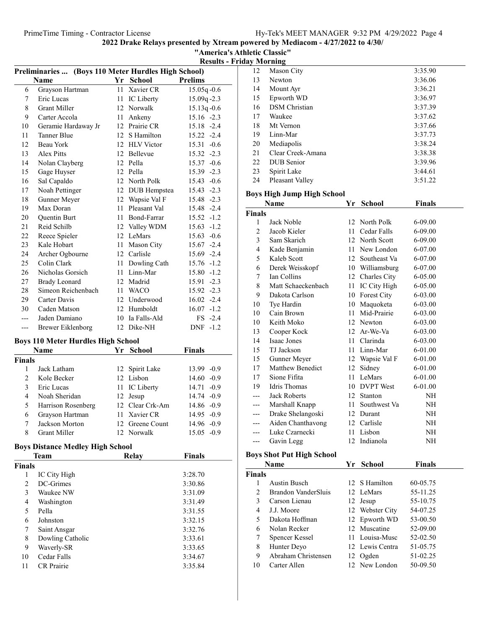|                                 | "America's Athletic Classic" |
|---------------------------------|------------------------------|
| <b>Results - Friday Morning</b> |                              |

| Preliminaries  (Boys 110 Meter Hurdles High School) |                      |    |               |                 |
|-----------------------------------------------------|----------------------|----|---------------|-----------------|
|                                                     | Name                 |    | Yr School     | <b>Prelims</b>  |
| 6                                                   | Grayson Hartman      | 11 | Xavier CR     | 15.05q-0.6      |
| 7                                                   | Eric Lucas           | 11 | IC Liberty    | $15.09q - 2.3$  |
| 8                                                   | <b>Grant Miller</b>  | 12 | Norwalk       | $15.13q - 0.6$  |
| 9                                                   | Carter Accola        | 11 | Ankeny        | $15.16 -2.3$    |
| 10                                                  | Geramie Hardaway Jr  | 12 | Prairie CR    | 15.18 -2.4      |
| 11                                                  | <b>Tanner Blue</b>   | 12 | S Hamilton    | 15.22 -2.4      |
| 12                                                  | Beau York            |    | 12 HLV Victor | $15.31 - 0.6$   |
| 13                                                  | <b>Alex Pitts</b>    | 12 | Bellevue      | $15.32 -2.3$    |
| 14                                                  | Nolan Clayberg       | 12 | Pella         | $15.37 -0.6$    |
| 15                                                  | Gage Huyser          | 12 | Pella         | $15.39 -2.3$    |
| 16                                                  | Sal Capaldo          | 12 | North Polk    | 15.43 -0.6      |
| 17                                                  | Noah Pettinger       | 12 | DUB Hempstea  | $15.43 -2.3$    |
| 18                                                  | Gunner Meyer         | 12 | Wapsie Val F  | 15.48 -2.3      |
| 19                                                  | Max Doran            | 11 | Pleasant Val  | 15.48 -2.4      |
| 20                                                  | <b>Ouentin Burt</b>  | 11 | Bond-Farrar   | $15.52 - 1.2$   |
| 21                                                  | Reid Schilb          | 12 | Valley WDM    | $15.63 - 1.2$   |
| 22                                                  | Reece Spieler        |    | 12 LeMars     | $15.63 - 0.6$   |
| 23                                                  | Kale Hobart          | 11 | Mason City    | $15.67 -2.4$    |
| 24                                                  | Archer Ogbourne      |    | 12 Carlisle   | 15.69 -2.4      |
| 25                                                  | Colin Clark          | 11 | Dowling Cath  | $15.76 - 1.2$   |
| 26                                                  | Nicholas Gorsich     | 11 | Linn-Mar      | 15.80<br>$-1.2$ |
| 27                                                  | <b>Brady Leonard</b> | 12 | Madrid        | 15.91 -2.3      |
| 28                                                  | Simeon Reichenbach   | 11 | <b>WACO</b>   | $15.92 -2.3$    |
| 29                                                  | Carter Davis         | 12 | Underwood     | $16.02 -2.4$    |
| 30                                                  | Caden Matson         | 12 | Humboldt      | 16.07<br>$-1.2$ |
| ---                                                 | Jaden Damiano        | 10 | Ia Falls-Ald  | $FS -2.4$       |
| ---                                                 | Brewer Eiklenborg    | 12 | Dike-NH       | DNF -1.2        |

# Boys 110 Meter Hurdles High School

| Name          |                     | Yr School |                 | <b>Finals</b>   |
|---------------|---------------------|-----------|-----------------|-----------------|
| <b>Finals</b> |                     |           |                 |                 |
|               | Jack Latham         |           | 12 Spirit Lake  | $13.99 - 0.9$   |
| 2             | Kole Becker         |           | 12 Lisbon       | $14.60 - 0.9$   |
| 3             | Eric Lucas          |           | 11 IC Liberty   | $14.71 - 0.9$   |
| 4             | Noah Sheridan       |           | 12 Jesup        | $14.74 - 0.9$   |
| 5             | Harrison Rosenberg  |           | 12 Clear Crk-Am | $14.86 - 0.9$   |
| 6             | Grayson Hartman     |           | 11 Xavier CR    | $14.95 -0.9$    |
|               | Jackson Morton      |           | 12 Greene Count | $14.96 - 0.9$   |
| 8             | <b>Grant Miller</b> |           | 12 Norwalk      | $-0.9$<br>15.05 |

# Boys Distance Medley High School

| <b>Team</b>   |                   | Relay | <b>Finals</b> |
|---------------|-------------------|-------|---------------|
| <b>Finals</b> |                   |       |               |
| 1             | IC City High      |       | 3:28.70       |
| 2             | DC-Grimes         |       | 3:30.86       |
| 3             | Waukee NW         |       | 3:31.09       |
| 4             | Washington        |       | 3:31.49       |
| 5             | Pella             |       | 3:31.55       |
| 6             | Johnston          |       | 3:32.15       |
| 7             | Saint Ansgar      |       | 3:32.76       |
| 8             | Dowling Catholic  |       | 3:33.61       |
| 9             | Waverly-SR        |       | 3:33.65       |
| 10            | Cedar Falls       |       | 3:34.67       |
| 11            | <b>CR</b> Prairie |       | 3:35.84       |

| 12 | Mason City           | 3:35.90 |
|----|----------------------|---------|
| 13 | Newton               | 3:36.06 |
| 14 | Mount Ayr            | 3:36.21 |
| 15 | Epworth WD           | 3:36.97 |
| 16 | <b>DSM</b> Christian | 3:37.39 |
| 17 | Waukee               | 3:37.62 |
| 18 | Mt Vernon            | 3:37.66 |
| 19 | Linn-Mar             | 3:37.73 |
| 20 | Mediapolis           | 3:38.24 |
| 21 | Clear Creek-Amana    | 3:38.38 |
| 22 | DUB Senior           | 3:39.96 |
| 23 | Spirit Lake          | 3:44.61 |
| 24 | Pleasant Valley      | 3:51.22 |

# Boys High Jump High School

| Name                | Yr     | <b>School</b>    | <b>Finals</b>                                                                                                                                                                                                                       |
|---------------------|--------|------------------|-------------------------------------------------------------------------------------------------------------------------------------------------------------------------------------------------------------------------------------|
|                     |        |                  |                                                                                                                                                                                                                                     |
| Jack Noble          |        |                  | 6-09.00                                                                                                                                                                                                                             |
| Jacob Kieler        | 11     | Cedar Falls      | 6-09.00                                                                                                                                                                                                                             |
| Sam Skarich         |        |                  | 6-09.00                                                                                                                                                                                                                             |
| Kade Benjamin       |        | New London       | 6-07.00                                                                                                                                                                                                                             |
| Kaleb Scott         |        | Southeast Va     | 6-07.00                                                                                                                                                                                                                             |
| Derek Weisskopf     |        |                  | 6-07.00                                                                                                                                                                                                                             |
| <b>Ian Collins</b>  |        |                  | 6-05.00                                                                                                                                                                                                                             |
| Matt Schaeckenbach  | 11     | IC City High     | 6-05.00                                                                                                                                                                                                                             |
| Dakota Carlson      | 10     |                  | 6-03.00                                                                                                                                                                                                                             |
| Tye Hardin          | 10     | Maquoketa        | 6-03.00                                                                                                                                                                                                                             |
| Cain Brown          | 11     | Mid-Prairie      | 6-03.00                                                                                                                                                                                                                             |
| Keith Moko          |        |                  | 6-03.00                                                                                                                                                                                                                             |
| Cooper Kock         |        |                  | $6 - 03.00$                                                                                                                                                                                                                         |
| Isaac Jones         | 11     | Clarinda         | 6-03.00                                                                                                                                                                                                                             |
| TJ Jackson          | 11     | Linn-Mar         | 6-01.00                                                                                                                                                                                                                             |
| Gunner Meyer        |        |                  | 6-01.00                                                                                                                                                                                                                             |
| Matthew Benedict    |        | Sidney           | 6-01.00                                                                                                                                                                                                                             |
| Sione Fifita        | 11     | LeMars           | $6 - 01.00$                                                                                                                                                                                                                         |
| <b>Idris</b> Thomas | 10     | <b>DVPT</b> West | 6-01.00                                                                                                                                                                                                                             |
| <b>Jack Roberts</b> |        | Stanton          | NH                                                                                                                                                                                                                                  |
| Marshall Knapp      |        | Southwest Va     | NH                                                                                                                                                                                                                                  |
| Drake Shelangoski   |        |                  | NH                                                                                                                                                                                                                                  |
| Aiden Chanthavong   |        |                  | NH                                                                                                                                                                                                                                  |
| Luke Czarnecki      |        |                  | NH                                                                                                                                                                                                                                  |
| Gavin Legg          |        |                  | NH                                                                                                                                                                                                                                  |
|                     | Finals |                  | 12 North Polk<br>12 North Scott<br>11<br>12<br>10 Williamsburg<br>12 Charles City<br><b>Forest City</b><br>12 Newton<br>12 Ar-We-Va<br>12 Wapsie Val F<br>12<br>12<br>11 -<br>12 Durant<br>12 Carlisle<br>11 Lisbon<br>12 Indianola |

# Boys Shot Put High School

|        | Name                | Yr School       | <b>Finals</b> |
|--------|---------------------|-----------------|---------------|
| Finals |                     |                 |               |
|        | Austin Busch        | 12 S Hamilton   | 60-05.75      |
| 2      | Brandon VanderSluis | 12 LeMars       | 55-11.25      |
| 3      | Carson Lienau       | 12 Jesup        | 55-10.75      |
| 4      | J.J. Moore          | 12 Webster City | 54-07.25      |
| 5      | Dakota Hoffman      | 12 Epworth WD   | 53-00.50      |
| 6      | Nolan Recker        | 12 Muscatine    | 52-09.00      |
| 7      | Spencer Kessel      | 11 Louisa-Musc  | 52-02.50      |
| 8      | Hunter Deyo         | 12 Lewis Centra | 51-05.75      |
| 9      | Abraham Christensen | 12 Ogden        | 51-02.25      |
| 10     | Carter Allen        | 12 New London   | 50-09.50      |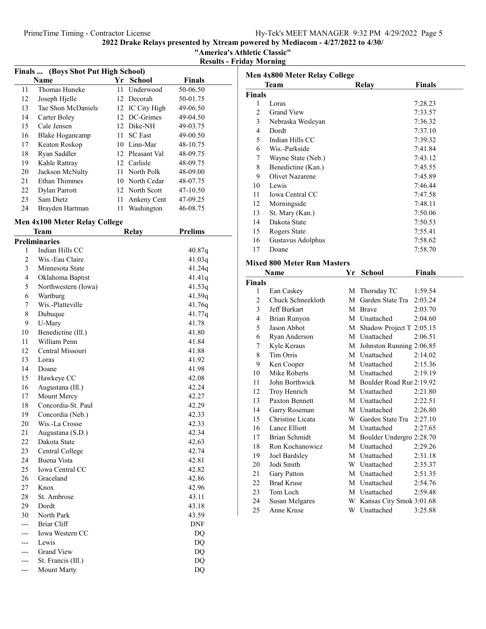"America's Athletic Classic"

Results - Friday Morning

| Finals  (Boys Shot Put High School) |                        |     |                 |               |  |
|-------------------------------------|------------------------|-----|-----------------|---------------|--|
|                                     | Name                   | Yг  | <b>School</b>   | <b>Finals</b> |  |
| 11                                  | Thomas Huneke          | 11  | Underwood       | 50-06.50      |  |
| 12                                  | Joseph Hjelle          |     | 12 Decorah      | 50-01.75      |  |
| 13                                  | Tae Shon McDaniels     |     | 12 IC City High | 49-06.50      |  |
| 14                                  | Carter Boley           | 12. | DC-Grimes       | 49-04.50      |  |
| 15                                  | Cale Jensen            |     | 12 Dike-NH      | 49-03.75      |  |
| 16                                  | <b>Blake Hogancamp</b> | 11  | <b>SC</b> East  | 49-00.50      |  |
| 17                                  | Keaton Roskop          | 10  | Linn-Mar        | 48-10.75      |  |
| 18                                  | Ryan Saddler           |     | 12 Pleasant Val | 48-09.75      |  |
| 19                                  | Kahle Rattray          |     | 12 Carlisle     | 48-09.75      |  |
| 20                                  | Jackson McNulty        | 11. | North Polk      | 48-09.00      |  |
| 21                                  | Ethan Thimmes          |     | 10 North Cedar  | 48-07.75      |  |
| 22                                  | Dylan Parrott          |     | 12 North Scott  | 47-10.50      |  |
| 23                                  | Sam Dietz              | 11  | Ankeny Cent     | 47-09.25      |  |
| 24                                  | Brayden Hartman        | 11  | Washington      | 46-08.75      |  |
|                                     |                        |     |                 |               |  |

#### Men 4x100 Meter Relay College

|                | Team                   | Relay | <b>Prelims</b> |
|----------------|------------------------|-------|----------------|
|                | <b>Preliminaries</b>   |       |                |
| 1              | Indian Hills CC        |       | 40.87q         |
| $\overline{c}$ | Wis.-Eau Claire        |       | 41.03q         |
| 3              | Minnesota State        |       | 41.24q         |
| $\overline{4}$ | Oklahoma Baptist       |       | 41.41q         |
| 5              | Northwestern (Iowa)    |       | 41.53q         |
| 6              | Wartburg               |       | 41.59q         |
| 7              | Wis.-Platteville       |       | 41.76q         |
| 8              | Dubuque                |       | 41.77q         |
| 9              | U-Mary                 |       | 41.78          |
| 10             | Benedictine (Ill.)     |       | 41.80          |
| 11             | William Penn           |       | 41.84          |
| 12             | Central Missouri       |       | 41.88          |
| 13             | Loras                  |       | 41.92          |
| 14             | Doane                  |       | 41.98          |
| 15             | Hawkeye CC             |       | 42.08          |
| 16             | Augustana (Ill.)       |       | 42.24          |
| 17             | Mount Mercy            |       | 42.27          |
| 18             | Concordia-St. Paul     |       | 42.29          |
| 19             | Concordia (Neb.)       |       | 42.33          |
| 20             | Wis.-La Crosse         |       | 42.33          |
| 21             | Augustana (S.D.)       |       | 42.34          |
| 22             | Dakota State           |       | 42.63          |
| 23             | Central College        |       | 42.74          |
| 24             | Buena Vista            |       | 42.81          |
| 25             | <b>Iowa Central CC</b> |       | 42.82          |
| 26             | Graceland              |       | 42.86          |
| 27             | Knox                   |       | 42.96          |
| 28             | St. Ambrose            |       | 43.11          |
| 29             | Dordt                  |       | 43.18          |
| 30             | North Park             |       | 43.59          |
|                | <b>Briar Cliff</b>     |       | DNF            |
|                | Iowa Western CC        |       | DQ             |
|                | Lewis                  |       | DQ             |
|                | <b>Grand View</b>      |       | DQ             |
|                | St. Francis (Ill.)     |       | DQ             |
| ---            | Mount Marty            |       | DQ             |

| Men 4x800 Meter Relay College |                        |       |               |
|-------------------------------|------------------------|-------|---------------|
|                               | <b>Team</b>            | Relay | <b>Finals</b> |
| <b>Finals</b>                 |                        |       |               |
| 1                             | Loras                  |       | 7:28.23       |
| 2                             | <b>Grand View</b>      |       | 7:33.57       |
| 3                             | Nebraska Wesleyan      |       | 7:36.32       |
| 4                             | Dordt                  |       | 7:37.10       |
| 5                             | Indian Hills CC        |       | 7:39.32       |
| 6                             | Wis.-Parkside          |       | 7:41.84       |
| 7                             | Wayne State (Neb.)     |       | 7:43.12       |
| 8                             | Benedictine (Kan.)     |       | 7:45.55       |
| 9                             | Olivet Nazarene        |       | 7:45.89       |
| 10                            | Lewis                  |       | 7:46.44       |
| 11                            | <b>Iowa Central CC</b> |       | 7:47.58       |
| 12                            | Morningside            |       | 7:48.11       |
| 13                            | St. Mary (Kan.)        |       | 7:50.06       |
| 14                            | Dakota State           |       | 7:50.53       |
| 15                            | Rogers State           |       | 7:55.41       |
| 16                            | Gustavus Adolphus      |       | 7:58.62       |
| 17                            | Doane                  |       | 7:58.70       |

# Mixed 800 Meter Run Masters

|        | Name              | Yr | School                   | <b>Finals</b> |
|--------|-------------------|----|--------------------------|---------------|
| Finals |                   |    |                          |               |
| 1      | Ean Caskey        |    | M Thorsday TC            | 1:59.54       |
| 2      | Chuck Schneekloth | M  | Garden State Tra         | 2:03.24       |
| 3      | Jeff Burkart      | M  | <b>Brave</b>             | 2:03.70       |
| 4      | Brian Runyon      |    | M Unattached             | 2:04.60       |
| 5      | Jason Abbot       | М  | Shadow Project T 2:05.15 |               |
| 6      | Ryan Anderson     |    | M Unattached             | 2:06.51       |
| 7      | Kyle Keraus       | М  | Johnston Running 2:06.85 |               |
| 8      | Tim Orris         |    | M Unattached             | 2:14.02       |
| 9      | Ken Cooper        |    | M Unattached             | 2:15.36       |
| 10     | Mike Roberts      |    | M Unattached             | 2:19.19       |
| 11     | John Borthwick    | M  | Boulder Road Rur 2:19.92 |               |
| 12     | Troy Henrich      |    | M Unattached             | 2:21.80       |
| 13     | Paxton Bennett    |    | M Unattached             | 2:22.51       |
| 14     | Garry Roseman     |    | M Unattached             | 2:26.80       |
| 15     | Christine Licata  | W  | Garden State Tra         | 2:27.10       |
| 16     | Lance Elliott     |    | M Unattached             | 2:27.65       |
| 17     | Brian Schmidt     | М  | Boulder Undergro 2:28.70 |               |
| 18     | Ron Kochanowicz   |    | M Unattached             | 2:29.26       |
| 19     | Joel Bardsley     |    | M Unattached             | 2:31.18       |
| 20     | Jodi Smith        | W  | Unattached               | 2:35.37       |
| 21     | Gary Patton       | M  | Unattached               | 2:51.35       |
| 22     | <b>Brad Kruse</b> | M  | Unattached               | 2:54.76       |
| 23     | Tom Loch          |    | M Unattached             | 2:59.48       |
| 24     | Susan Melgares    | W  | Kansas City Smok 3:01.68 |               |
| 25     | Anne Kruse        | W  | Unattached               | 3:25.88       |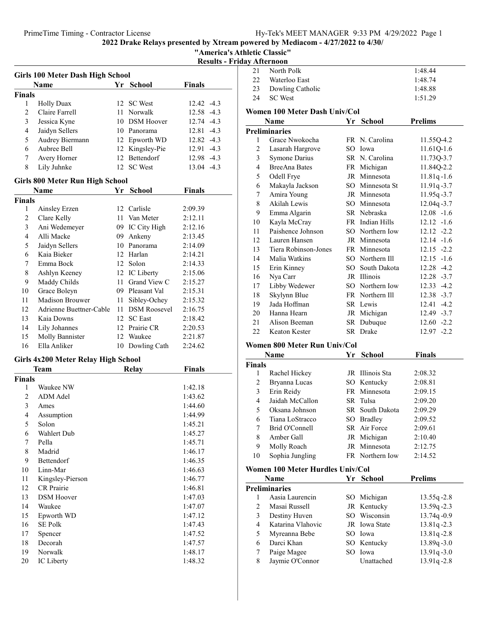"America's Athletic Classic"

|  |  |  | <b>Results - Friday Afternoon</b> |
|--|--|--|-----------------------------------|
|--|--|--|-----------------------------------|

|               | Girls 100 Meter Dash High School |     |                   |                      |
|---------------|----------------------------------|-----|-------------------|----------------------|
| Name          |                                  |     | Yr School         | <b>Finals</b>        |
| <b>Finals</b> |                                  |     |                   |                      |
| 1             | <b>Holly Duax</b>                |     | 12 SC West        | $12.42 - 4.3$        |
| 2             | Claire Farrell                   | 11. | Norwalk           | 12.58 -4.3           |
| 3             | Jessica Kyne                     |     | 10 DSM Hoover     | 12.74<br>$-4.3$      |
| 4             | Jaidyn Sellers                   |     | 10 Panorama       | $-4.3$<br>12.81      |
| 5             | Audrey Biermann                  |     | 12 Epworth WD     | $12.82 - 4.3$        |
| 6             | Aubree Bell                      |     | 12 Kingsley-Pie   | $12.91 - 4.3$        |
| 7             | Avery Horner                     | 12  | <b>Bettendorf</b> | 12.98 -4.3           |
| 8             | Lily Juhnke                      |     | 12 SC West        | $13.04 -4.3$         |
|               | Girls 800 Meter Run High School  |     |                   |                      |
|               | Name                             | Yr  | School            | <b>Finals</b>        |
| <b>Finals</b> |                                  |     |                   |                      |
| 1             | Ainsley Erzen                    |     | 12 Carlisle       | 2:09.39              |
| 2             | Clare Kelly                      | 11  | Van Meter         | 2:12.11              |
| 3             | Ani Wedemeyer                    |     | 09 IC City High   | 2:12.16              |
| 4             | Alli Macke                       | 09. | Ankeny            | 2:13.45              |
|               |                                  |     | $\sim$            | $\sim$ $\sim$ $\sim$ |

| 1              | Ainsley Erzen           |    | 12 Carlisle         | 2:09.39 |
|----------------|-------------------------|----|---------------------|---------|
| $\overline{c}$ | Clare Kelly             | 11 | Van Meter           | 2:12.11 |
| 3              | Ani Wedemeyer           | 09 | IC City High        | 2:12.16 |
| 4              | Alli Macke              | 09 | Ankeny              | 2:13.45 |
| 5              | Jaidyn Sellers          | 10 | Panorama            | 2:14.09 |
| 6              | Kaia Bieker             |    | 12 Harlan           | 2:14.21 |
| 7              | Emma Bock               | 12 | Solon               | 2:14.33 |
| 8              | Ashlyn Keeney           |    | 12 IC Liberty       | 2:15.06 |
| 9              | Maddy Childs            | 11 | Grand View C        | 2:15.27 |
| 10             | Grace Boleyn            | 09 | Pleasant Val        | 2:15.31 |
| 11             | Madison Brouwer         | 11 | Sibley-Ochey        | 2:15.32 |
| 12             | Adrienne Buettner-Cable | 11 | <b>DSM Roosevel</b> | 2:16.75 |
| 13             | Kaia Downs              | 12 | <b>SC</b> East      | 2:18.42 |
| 14             | Lily Johannes           | 12 | Prairie CR          | 2:20.53 |
| 15             | Molly Bannister         |    | 12 Waukee           | 2:21.87 |
| 16             | Ella Anliker            | 10 | Dowling Cath        | 2:24.62 |

# Girls 4x200 Meter Relay High School

|               | Team<br>Relay     |  | Finals  |
|---------------|-------------------|--|---------|
| <b>Finals</b> |                   |  |         |
| 1             | Waukee NW         |  | 1:42.18 |
| 2             | ADM Adel          |  | 1:43.62 |
| 3             | Ames              |  | 1:44.60 |
| 4             | Assumption        |  | 1:44.99 |
| 5             | Solon             |  | 1:45.21 |
| 6             | Wahlert Dub       |  | 1:45.27 |
| 7             | Pella             |  | 1:45.71 |
| 8             | Madrid            |  | 1:46.17 |
| 9             | Bettendorf        |  | 1:46.35 |
| 10            | Linn-Mar          |  | 1:46.63 |
| 11            | Kingsley-Pierson  |  | 1:46.77 |
| 12            | <b>CR</b> Prairie |  | 1:46.81 |
| 13            | <b>DSM</b> Hoover |  | 1:47.03 |
| 14            | Waukee            |  | 1:47.07 |
| 15            | Epworth WD        |  | 1:47.12 |
| 16            | <b>SE Polk</b>    |  | 1:47.43 |
| 17            | Spencer           |  | 1:47.52 |
| 18            | Decorah           |  | 1:47.57 |
| 19            | Norwalk           |  | 1:48.17 |
| 20            | IC Liberty        |  | 1:48.32 |

| ау тыся пооп   |                               |    |                 |                |
|----------------|-------------------------------|----|-----------------|----------------|
| 21             | North Polk                    |    |                 | 1:48.44        |
| 22             | Waterloo East                 |    |                 | 1:48.74        |
| 23             | Dowling Catholic              |    |                 | 1:48.88        |
| 24             | <b>SC</b> West                |    |                 | 1:51.29        |
|                | Women 100 Meter Dash Univ/Col |    |                 |                |
|                | Name                          | Yr | <b>School</b>   | <b>Prelims</b> |
|                | <b>Preliminaries</b>          |    |                 |                |
| 1              | Grace Nwokocha                |    | FR N. Carolina  | 11.55Q-4.2     |
| 2              | Lasarah Hargrove              |    | SO Iowa         | 11.61Q-1.6     |
| 3              | <b>Symone Darius</b>          |    | SR N. Carolina  | 11.73Q-3.7     |
| $\overline{4}$ | <b>BreeAna Bates</b>          |    | FR Michigan     | 11.84Q-2.2     |
| 5              | Odell Frye                    |    | JR Minnesota    | $11.81q - 1.6$ |
| 6              | Makayla Jackson               |    | SO Minnesota St | $11.91q - 3.7$ |
| 7              | Amira Young                   |    | JR Minnesota    | $11.95q - 3.7$ |
| 8              | Akilah Lewis                  |    | SO Minnesota    | 12.04q-3.7     |
| 9              | Emma Algarin                  |    | SR Nebraska     | $12.08 - 1.6$  |
| 10             | Kayla McCray                  |    | FR Indian Hills | $12.12 -1.6$   |
| 11             | Paishence Johnson             |    | SO Northern Iow | $12.12 -2.2$   |
| 12             | Lauren Hansen                 |    | JR Minnesota    | $12.14 - 1.6$  |
| 13             | Tiera Robinson-Jones          |    | FR Minnesota    | $12.15 -2.2$   |
| 14             | Malia Watkins                 |    | SO Northern Ill | $12.15 - 1.6$  |
| 15             | Erin Kinney                   |    | SO South Dakota | $12.28 - 4.2$  |
| 16             | Nya Carr                      |    | JR Illinois     | $12.28 - 3.7$  |
| 17             | Libby Wedewer                 |    | SO Northern Iow | $12.33 - 4.2$  |
| 18             | Skylynn Blue                  |    | FR Northern III | $12.38 - 3.7$  |
| 19             | Jada Hoffman                  |    | SR Lewis        | $12.41 - 4.2$  |
| 20             | Hanna Hearn                   |    | JR Michigan     | $12.49 - 3.7$  |
| 21             | Alison Beeman                 |    | SR Dubuque      | $12.60 -2.2$   |
| 22             | Keaton Kester                 |    | SR Drake        | $12.97 - 2.2$  |
|                |                               |    |                 |                |

# Women 800 Meter Run Univ/Col

|               | Name                             |    | <b>School</b>          | <b>Finals</b>  |
|---------------|----------------------------------|----|------------------------|----------------|
| <b>Finals</b> |                                  |    |                        |                |
| 1             | Rachel Hickey                    |    | JR Illinois Sta        | 2:08.32        |
| 2             | Bryanna Lucas                    |    | SO Kentucky            | 2:08.81        |
| 3             | Erin Reidy                       |    | FR Minnesota           | 2:09.15        |
| 4             | Jaidah McCallon                  |    | SR Tulsa               | 2:09.20        |
| 5             | Oksana Johnson                   |    | <b>SR</b> South Dakota | 2:09.29        |
| 6             | Tiana LoStracco                  |    | SO Bradley             | 2:09.52        |
| 7             | Brid O'Connell                   |    | SR Air Force           | 2:09.61        |
| 8             | Amber Gall                       |    | JR Michigan            | 2:10.40        |
| 9             | Molly Roach                      |    | JR Minnesota           | 2:12.75        |
| 10            | Sophia Jungling                  |    | FR Northern Iow        | 2:14.52        |
|               | Women 100 Meter Hurdles Univ/Col |    |                        |                |
|               | Name                             | Yг | School                 | <b>Prelims</b> |

|    | гуанне            | Y F. | эспоот        | r геппі <b>з</b> |
|----|-------------------|------|---------------|------------------|
|    | Preliminaries     |      |               |                  |
|    | Aasia Laurencin   |      | SO Michigan   | $13.55q - 2.8$   |
|    | Masai Russell     |      | JR Kentucky   | 13.59q-2.3       |
|    | Destiny Huven     |      | SO Wisconsin  | $13.74q - 0.9$   |
| 4  | Katarina Vlahovic |      | JR Iowa State | 13.81q-2.3       |
| 5. | Myreanna Bebe     |      | SO Iowa       | $13.81q - 2.8$   |
| 6  | Darci Khan        |      | SO Kentucky   | $13.89q - 3.0$   |
|    | Paige Magee       |      | SO Iowa       | $13.91q - 3.0$   |
| 8  | Jaymie O'Connor   |      | Unattached    | $13.91q - 2.8$   |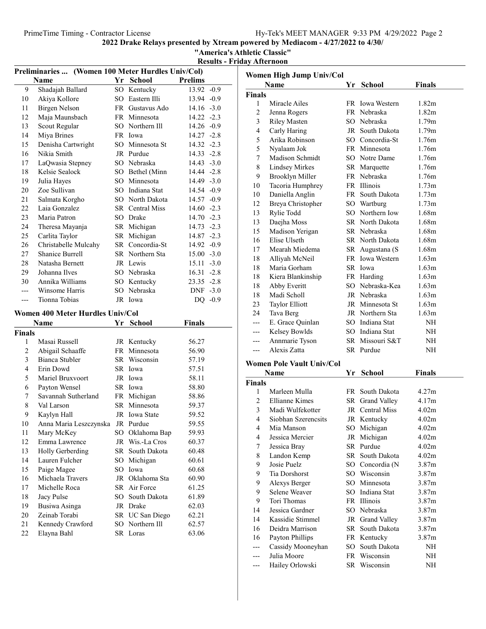PrimeTime Timing - Contractor License Hy-Tek's MEET MANAGER 9:33 PM 4/29/2022 Page 2

2022 Drake Relays presented by Xtream powered by Mediacom - 4/27/2022 to 4/30/

"America's Athletic Classic"

Results - Friday Afternoon

|               | Preliminaries  (Women 100 Meter Hurdles Univ/Col) |     |                            |                |         |                |                                  |     |                 |                   |
|---------------|---------------------------------------------------|-----|----------------------------|----------------|---------|----------------|----------------------------------|-----|-----------------|-------------------|
|               | <b>Name</b>                                       |     | Yr School                  | <b>Prelims</b> |         |                | Women High Jump Univ/Col         |     |                 |                   |
| 9             | Shadajah Ballard                                  |     | SO Kentucky                | 13.92 -0.9     |         |                | Name                             |     | Yr School       | <b>Finals</b>     |
| 10            | Akiya Kollore                                     |     | SO Eastern Illi            | 13.94 -0.9     |         | <b>Finals</b>  |                                  |     |                 |                   |
| 11            | <b>Birgen Nelson</b>                              |     | FR Gustavus Ado            | $14.16 - 3.0$  |         | 1              | Miracle Ailes                    |     | FR Iowa Western | 1.82m             |
| 12            | Maja Maunsbach                                    |     | FR Minnesota               | $14.22 - 2.3$  |         | $\overline{c}$ | Jenna Rogers                     |     | FR Nebraska     | 1.82m             |
| 13            | Scout Regular                                     |     | SO Northern Ill            | 14.26 -0.9     |         | 3              | <b>Riley Masten</b>              |     | SO Nebraska     | 1.79m             |
| 14            | Miya Brines                                       |     | FR Iowa                    | 14.27 -2.8     |         | 4              | Carly Haring                     |     | JR South Dakota | 1.79m             |
| 15            | Denisha Cartwright                                |     | SO Minnesota St            | 14.32 -2.3     |         | 5              | Arika Robinson                   |     | SO Concordia-St | 1.76m             |
| 16            | Nikia Smith                                       |     | JR Purdue                  | 14.33 -2.8     |         | 5              | Nyalaam Jok                      |     | FR Minnesota    | 1.76m             |
| 17            | LaQwasia Stepney                                  |     | SO Nebraska                | $14.43 - 3.0$  |         | 7              | Madison Schmidt                  |     | SO Notre Dame   | 1.76m             |
| 18            | Kelsie Sealock                                    |     | SO Bethel (Minn            | 14.44 -2.8     |         | 8              | <b>Lindsey Mirkes</b>            |     | SR Marquette    | 1.76m             |
| 19            | Julia Hayes                                       | SO  | Minnesota                  | 14.49 -3.0     |         | 9              | Brooklyn Miller                  |     | FR Nebraska     | 1.76m             |
| 20            | Zoe Sullivan                                      | SO. | Indiana Stat               | 14.54 -0.9     |         | 10             | Tacoria Humphrey                 |     | FR Illinois     | 1.73m             |
| 21            | Salmata Korgho                                    | SO  | North Dakota               | 14.57 -0.9     |         | 10             | Daniella Anglin                  |     | FR South Dakota | 1.73m             |
| 22            | Laia Gonzalez                                     |     | SR Central Miss            | $14.60 -2.3$   |         | 12             | Breya Christopher                |     | SO Wartburg     | 1.73m             |
| 23            | Maria Patron                                      |     | SO Drake                   | 14.70 -2.3     |         | 13             | Rylie Todd                       |     | SO Northern Iow | 1.68m             |
| 24            | Theresa Mayanja                                   |     | SR Michigan                | 14.73 -2.3     |         | 13             | Daejha Moss                      |     | SR North Dakota | 1.68m             |
| 25            | Carlita Taylor                                    |     | SR Michigan                | 14.87 -2.3     |         | 15             | Madison Yerigan                  |     | SR Nebraska     | 1.68m             |
|               |                                                   |     | SR Concordia-St            |                |         | 16             | Elise Ulseth                     |     | SR North Dakota | 1.68m             |
| 26            | Christabelle Mulcahy                              |     |                            | 14.92 -0.9     |         | 17             | Mearah Miedema                   |     | SR Augustana (S | 1.68m             |
| 27            | Shanice Burrell                                   |     | SR Northern Sta            | $15.00 - 3.0$  |         | 18             | Alliyah McNeil                   |     | FR Iowa Western | 1.63m             |
| 28            | Natasha Bernett                                   |     | JR Lewis                   | $15.11 - 3.0$  |         | 18             | Maria Gorham                     |     | SR Iowa         | 1.63 <sub>m</sub> |
| 29            | Johanna Ilves                                     |     | SO Nebraska                | $16.31 - 2.8$  |         | 18             | Kiera Blankinship                |     | FR Harding      | 1.63m             |
| 30            | Annika Williams                                   |     | SO Kentucky                | 23.35 -2.8     |         | 18             | Abby Everitt                     |     | SO Nebraska-Kea | 1.63m             |
| $---$         | Winsome Harris                                    |     | SO Nebraska                | DNF -3.0       |         | 18             | Madi Scholl                      |     | JR Nebraska     | 1.63m             |
| $---$         | Tionna Tobias                                     |     | JR Iowa                    |                | DQ -0.9 | 23             | <b>Taylor Elliott</b>            |     | JR Minnesota St | 1.63m             |
|               | Women 400 Meter Hurdles Univ/Col                  |     |                            |                |         | 24             | Tava Berg                        |     | JR Northern Sta | 1.63m             |
|               | Name                                              |     | Yr School                  | <b>Finals</b>  |         | ---            | E. Grace Quinlan                 | SO. | Indiana Stat    | $\rm NH$          |
| <b>Finals</b> |                                                   |     |                            |                |         | $---$          | Kelsey Bowlds                    | SO. | Indiana Stat    | $\rm NH$          |
| 1             | Masai Russell                                     |     | JR Kentucky                | 56.27          |         | $---$          | Annmarie Tyson                   |     | SR Missouri S&T | NH                |
| $\sqrt{2}$    | Abigail Schaaffe                                  |     | FR Minnesota               | 56.90          |         | $---$          | Alexis Zatta                     |     | SR Purdue       | NH                |
| 3             | Bianca Stubler                                    |     | SR Wisconsin               | 57.19          |         |                |                                  |     |                 |                   |
| 4             | Erin Dowd                                         |     | SR Iowa                    | 57.51          |         |                | <b>Women Pole Vault Univ/Col</b> |     |                 |                   |
| 5             | Mariel Bruxvoort                                  |     | JR Iowa                    | 58.11          |         |                | Name                             |     | Yr School       | <b>Finals</b>     |
| 6             | Payton Wensel                                     |     | SR Iowa                    | 58.80          |         | <b>Finals</b>  |                                  |     |                 |                   |
| 7             | Savannah Sutherland                               |     | FR Michigan                | 58.86          |         | 1              | Marleen Mulla                    |     | FR South Dakota | 4.27m             |
| 8             | Val Larson                                        |     | SR Minnesota               | 59.37          |         | 2              | <b>Ellianne Kimes</b>            |     | SR Grand Valley | 4.17m             |
| 9             | Kaylyn Hall                                       |     | JR Iowa State              | 59.52          |         | 3              | Madi Wulfekotter                 |     | JR Central Miss | 4.02m             |
| 10            | Anna Maria Leszczynska JR Purdue                  |     |                            | 59.55          |         | 4              | Siobhan Szerencsits              |     | JR Kentucky     | 4.02m             |
| 11            | Mary McKey                                        |     | SO Oklahoma Bap            | 59.93          |         | 4              | Mia Manson                       |     | SO Michigan     | 4.02m             |
| 12            | Emma Lawrence                                     |     | JR Wis.-La Cros            | 60.37          |         | 4              | Jessica Mercier                  |     | JR Michigan     | 4.02m             |
| 13            | Holly Gerberding                                  |     | SR South Dakota            | 60.48          |         | 7              | Jessica Bray                     |     | SR Purdue       | 4.02m             |
| 14            | Lauren Fulcher                                    |     | SO Michigan                | 60.61          |         | 8              | Landon Kemp                      |     | SR South Dakota | 4.02m             |
|               | Paige Magee                                       |     |                            |                |         | 9              | Josie Puelz                      |     | SO Concordia (N | 3.87m             |
| 15            |                                                   |     | SO Iowa<br>JR Oklahoma Sta | 60.68          |         | 9              | Tia Dorshorst                    |     | SO Wisconsin    | 3.87m             |
| 16            | Michaela Travers<br>Michelle Roca                 |     |                            | 60.90          |         | 9              | Alexys Berger                    | SO  | Minnesota       | 3.87m             |
| 17            |                                                   |     | SR Air Force               | 61.25          |         | 9              | Selene Weaver                    | SO. | Indiana Stat    | 3.87m             |
| 18            | Jacy Pulse                                        |     | SO South Dakota            | 61.89          |         | 9              | Tori Thomas                      |     | FR Illinois     | 3.87m             |
| 19            | Busiwa Asinga                                     |     | JR Drake                   | 62.03          |         | 14             | Jessica Gardner                  |     | SO Nebraska     | 3.87m             |
| 20            | Zeinab Torabi                                     |     | SR UC San Diego            | 62.21          |         | 14             | Kassidie Stimmel                 |     | JR Grand Valley | 3.87m             |
| 21            | Kennedy Crawford                                  |     | SO Northern Ill            | 62.57          |         | 16             | Deidra Marrison                  |     | SR South Dakota | 3.87m             |
| $22\,$        | Elayna Bahl                                       |     | SR Loras                   | 63.06          |         | 16             | Payton Phillips                  |     | FR Kentucky     | 3.87m             |
|               |                                                   |     |                            |                |         | $---$          | Cassidy Mooneyhan                |     | SO South Dakota | NH                |

|                | Women High Jump Univ/Col  |    |                               |                   |
|----------------|---------------------------|----|-------------------------------|-------------------|
|                | <b>Name</b>               | Yr | School                        | <b>Finals</b>     |
| Finals         |                           |    |                               |                   |
| 1              | Miracle Ailes             |    | FR Iowa Western               | 1.82m             |
| 2              | Jenna Rogers              |    | FR Nebraska                   | 1.82 <sub>m</sub> |
| 3              | <b>Riley Masten</b>       |    | SO Nebraska                   | 1.79m             |
| $\overline{4}$ | Carly Haring              |    | JR South Dakota               | 1.79m             |
| 5              | Arika Robinson            |    | SO Concordia-St               | 1.76m             |
| 5              | Nyalaam Jok               |    | FR Minnesota                  | 1.76m             |
| 7              | Madison Schmidt           |    | SO Notre Dame                 | 1.76m             |
| 8              | <b>Lindsey Mirkes</b>     |    | SR Marquette                  | 1.76m             |
| 9              | Brooklyn Miller           |    | FR Nebraska                   | 1.76m             |
| 10             | Tacoria Humphrey          |    | FR Illinois                   | 1.73m             |
| 10             | Daniella Anglin           |    | FR South Dakota               | 1.73m             |
| 12             | Breya Christopher         |    | SO Wartburg                   | 1.73m             |
| 13             | Rylie Todd                |    | SO Northern Iow               | 1.68m             |
| 13             | Daejha Moss               |    | SR North Dakota               | 1.68m             |
| 15             | Madison Yerigan           |    | SR Nebraska                   | 1.68m             |
| 16             | Elise Ulseth              |    | SR North Dakota               | 1.68m             |
| 17             | Mearah Miedema            |    | SR Augustana (S               | 1.68m             |
| 18             | Alliyah McNeil            |    | FR Iowa Western               | 1.63m             |
| 18             | Maria Gorham              |    | SR Iowa                       | 1.63m             |
|                |                           |    |                               |                   |
| 18             | Kiera Blankinship         |    | FR Harding<br>SO Nebraska-Kea | 1.63m             |
| 18             | Abby Everitt              |    |                               | 1.63m             |
| 18             | Madi Scholl               |    | JR Nebraska                   | 1.63m             |
| 23             | Taylor Elliott            |    | JR Minnesota St               | 1.63m             |
| 24             | Tava Berg                 |    | JR Northern Sta               | 1.63m             |
| $---$          | E. Grace Quinlan          |    | SO Indiana Stat               | NH                |
| $---$          | Kelsey Bowlds             |    | SO Indiana Stat               | NH                |
| ---            | Annmarie Tyson            |    | SR Missouri S&T               | NΗ                |
| ---            | Alexis Zatta              |    | SR Purdue                     | NΗ                |
|                | Women Pole Vault Univ/Col |    |                               |                   |
|                | Name                      | Yr | School                        | <b>Finals</b>     |
| <b>Finals</b>  |                           |    |                               |                   |
| 1              | Marleen Mulla             |    | FR South Dakota               | 4.27m             |
| 2              | <b>Ellianne Kimes</b>     |    | SR Grand Valley               | 4.17m             |
| 3              | Madi Wulfekotter          |    | JR Central Miss               | 4.02m             |
| 4              | Siobhan Szerencsits       |    | JR Kentucky                   | 4.02m             |
| 4              | Mia Manson                | SO | Michigan                      | 4.02m             |
| 4              | Jessica Mercier           | JR | Michigan                      | 4.02m             |
| 7              | Jessica Bray              |    | SR Purdue                     | 4.02m             |
| 8              | Landon Kemp               |    | SR South Dakota               | 4.02m             |
| 9              | Josie Puelz               |    | SO Concordia (N               | 3.87m             |
| 9              | <b>Tia Dorshorst</b>      |    | SO Wisconsin                  | 3.87m             |
| 9              | Alexys Berger             |    | SO Minnesota                  | 3.87m             |
| 9              | Selene Weaver             |    | SO Indiana Stat               | 3.87m             |
| 9              | Tori Thomas               |    | FR Illinois                   | 3.87m             |
| 14             | Jessica Gardner           |    | SO Nebraska                   | 3.87m             |
|                |                           |    |                               |                   |

--- Cassidy Mooneyhan SO South Dakota NH<br>--- Julia Moore FR Wisconsin NH --- Julia Moore FR Wisconsin NH<br>--- Hailey Orlowski SR Wisconsin NH --- Hailey Orlowski SR Wisconsin NH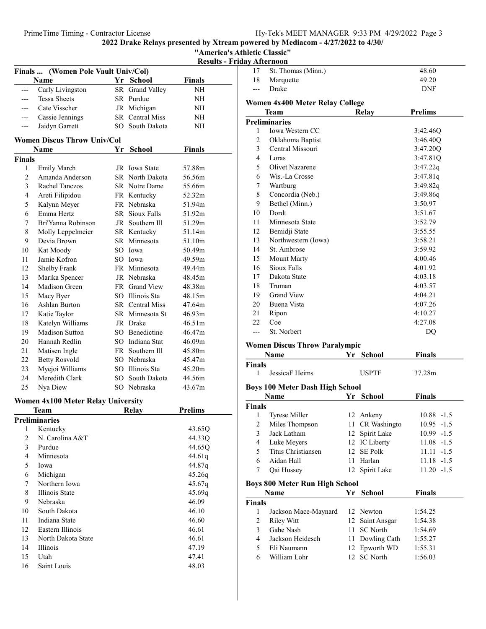2022 Drake Relays presented by Xtream powered by Mediacom - 4/27/2022 to 4/30/ "America's Athletic Classic"

|                | Finals  (Women Pole Vault Univ/Col) |    |                       |               |  |
|----------------|-------------------------------------|----|-----------------------|---------------|--|
|                | Name                                | Yr | <b>School</b>         | <b>Finals</b> |  |
| ---            | Carly Livingston                    | SR | Grand Valley          | NH            |  |
| ---            | <b>Tessa Sheets</b>                 |    | SR Purdue             | NΗ            |  |
| ---            | Cate Visscher                       |    | JR Michigan           | NΗ            |  |
| ---            | Cassie Jennings                     |    | SR Central Miss       | NH            |  |
| ---            | Jaidyn Garrett                      |    | SO South Dakota       | NΗ            |  |
|                | <b>Women Discus Throw Univ/Col</b>  |    |                       |               |  |
|                | <b>Name</b>                         | Yr | School                | Finals        |  |
| <b>Finals</b>  |                                     |    |                       |               |  |
| 1              | <b>Emily March</b>                  |    | JR Iowa State         | 57.88m        |  |
| $\overline{c}$ | Amanda Anderson                     |    | SR North Dakota       | 56.56m        |  |
| 3              | Rachel Tanczos                      |    | SR Notre Dame         | 55.66m        |  |
| $\overline{4}$ | Areti Filipidou                     |    | FR Kentucky           | 52.32m        |  |
| 5              | Kalynn Meyer                        |    | FR Nebraska           | 51.94m        |  |
| 6              | Emma Hertz                          |    | <b>SR</b> Sioux Falls | 51.92m        |  |
| 7              | Bri'Yanna Robinson                  |    | JR Southern III       | 51.29m        |  |
| 8              | Molly Leppelmeier                   |    | SR Kentucky           | 51.14m        |  |
| 9              | Devia Brown                         |    | SR Minnesota          | 51.10m        |  |
| 10             | Kat Moody                           |    | SO Iowa               | 50.49m        |  |
| 11             | Jamie Kofron                        |    | SO Iowa               | 49.59m        |  |
| 12             | Shelby Frank                        |    | FR Minnesota          | 49.44m        |  |
| 13             | Marika Spencer                      |    | JR Nebraska           | 48.45m        |  |
| 14             | Madison Green                       |    | FR Grand View         | 48.38m        |  |
| 15             | Macy Byer                           |    | SO Illinois Sta       | 48.15m        |  |
| 16             | Ashlan Burton                       |    | SR Central Miss       | 47.64m        |  |
| 17             | Katie Taylor                        |    | SR Minnesota St       | 46.93m        |  |
| 18             | Katelyn Williams                    |    | JR Drake              | 46.51m        |  |
| 19             | <b>Madison Sutton</b>               |    | SO Benedictine        | 46.47m        |  |
| 20             | Hannah Redlin                       |    | SO Indiana Stat       | 46.09m        |  |
| 21             | Matisen Ingle                       |    | FR Southern Ill       | 45.80m        |  |
| 22             | <b>Betty Rosvold</b>                |    | SO Nebraska           | 45.47m        |  |
| 23             | Myejoi Williams                     |    | SO Illinois Sta       | 45.20m        |  |
| 24             | Meredith Clark                      |    | SO South Dakota       | 44.56m        |  |
| 25             | Nya Diew                            |    | SO Nebraska           | 43.67m        |  |
|                |                                     |    |                       |               |  |

# Women 4x100 Meter Relay University

| Team |                    | Relay | <b>Prelims</b> |  |
|------|--------------------|-------|----------------|--|
|      | Preliminaries      |       |                |  |
| 1    | Kentucky           |       | 43.65Q         |  |
| 2    | N. Carolina A&T    |       | 44.33Q         |  |
| 3    | Purdue             |       | 44.65Q         |  |
| 4    | Minnesota          |       | 44.61g         |  |
| 5    | Iowa               |       | 44.87g         |  |
| 6    | Michigan           |       | 45.26q         |  |
| 7    | Northern Iowa      |       | 45.67q         |  |
| 8    | Illinois State     |       | 45.69q         |  |
| 9    | Nebraska           |       | 46.09          |  |
| 10   | South Dakota       |       | 46.10          |  |
| 11   | Indiana State      |       | 46.60          |  |
| 12   | Eastern Illinois   |       | 46.61          |  |
| 13   | North Dakota State |       | 46.61          |  |
| 14   | <b>Illinois</b>    |       | 47.19          |  |
| 15   | Utah               |       | 47.41          |  |
| 16   | Saint Louis        |       | 48.03          |  |
|      |                    |       |                |  |

| <b>Results - Friday Afternoon</b> |                |                                         |       |                |
|-----------------------------------|----------------|-----------------------------------------|-------|----------------|
|                                   | 17             | St. Thomas (Minn.)                      |       | 48.60          |
| als                               | 18             | Marquette                               |       | 49.20          |
| NН                                | ---            | Drake                                   |       | <b>DNF</b>     |
| NН                                |                |                                         |       |                |
| NН                                |                | <b>Women 4x400 Meter Relay College</b>  |       |                |
| NН                                |                | <b>Team</b>                             | Relay | <b>Prelims</b> |
| NН                                | 1              | <b>Preliminaries</b><br>Iowa Western CC |       | 3:42.46O       |
|                                   | 2              | Oklahoma Baptist                        |       | 3:46.40O       |
|                                   | 3              | Central Missouri                        |       | 3:47.20Q       |
| als                               | $\overline{4}$ | Loras                                   |       | 3:47.81Q       |
|                                   | 5              | Olivet Nazarene                         |       | 3:47.22q       |
| 8m                                | 6              | Wis.-La Crosse                          |       | 3:47.81q       |
| 6m                                | 7              | Wartburg                                |       | 3:49.82q       |
| 6m                                | 8              | Concordia (Neb.)                        |       | 3:49.86q       |
| 2m                                | 9              | Bethel (Minn.)                          |       | 3:50.97        |
| 4m                                | 10             | Dordt                                   |       | 3:51.67        |
| 2m                                | 11             | Minnesota State                         |       | 3:52.79        |
| 9m                                | 12             |                                         |       | 3:55.55        |
| 4m                                |                | Bemidji State                           |       |                |
| 0m                                | 13             | Northwestern (Iowa)                     |       | 3:58.21        |
| 9m                                | 14             | St. Ambrose                             |       | 3:59.92        |
| 9m                                | 15             | <b>Mount Marty</b>                      |       | 4:00.46        |
| 4m                                | 16             | <b>Sioux Falls</b>                      |       | 4:01.92        |
| 5m                                | 17             | Dakota State                            |       | 4:03.18        |
| 8m                                | 18             | Truman                                  |       | 4:03.57        |
| 5m                                | 19             | <b>Grand View</b>                       |       | 4:04.21        |
| 4m                                | 20             | Buena Vista                             |       | 4:07.26        |
| 3m                                | 21             | Ripon                                   |       | 4:10.27        |
| 1 <sub>m</sub>                    | 22             | Coe                                     |       | 4:27.08        |
| 7m                                | ---            | St. Norbert                             |       | DQ             |
| 9m                                |                | Wamen Discus Thraw Paralymnic           |       |                |

## Women Discus Throw Paralympic

|               | Name                                   | Yr | <b>School</b>  | <b>Finals</b> |  |  |
|---------------|----------------------------------------|----|----------------|---------------|--|--|
| Finals        |                                        |    |                |               |  |  |
| 1             | JessicaF Heims                         |    | <b>USPTF</b>   | 37.28m        |  |  |
|               | <b>Boys 100 Meter Dash High School</b> |    |                |               |  |  |
|               | Name                                   | Yr | <b>School</b>  | <b>Finals</b> |  |  |
| <b>Finals</b> |                                        |    |                |               |  |  |
| 1             | <b>Tyrese Miller</b>                   |    | 12 Ankeny      | $10.88 - 1.5$ |  |  |
| 2             | Miles Thompson                         | 11 | CR Washingto   | $10.95 -1.5$  |  |  |
| $\mathbf{3}$  | Jack Latham                            |    | 12 Spirit Lake | $10.99 - 1.5$ |  |  |
| 4             | Luke Meyers                            |    | 12 IC Liberty  | $11.08 - 1.5$ |  |  |
| 5             | Titus Christiansen                     |    | 12 SE Polk     | $11.11 - 1.5$ |  |  |
| 6             | Aidan Hall                             | 11 | Harlan         | $11.18 - 1.5$ |  |  |
| 7             | Qai Hussey                             |    | 12 Spirit Lake | $11.20 -1.5$  |  |  |
|               | <b>Boys 800 Meter Run High School</b>  |    |                |               |  |  |
|               | Name                                   | Yr | School         | <b>Finals</b> |  |  |
| <b>Finals</b> |                                        |    |                |               |  |  |
| 1             | Jackson Mace-Maynard                   |    | 12 Newton      | 1:54.25       |  |  |
| 2             | Riley Witt                             | 12 | Saint Ansgar   | 1:54.38       |  |  |
| 3             | Gabe Nash                              | 11 | SC North       | 1:54.69       |  |  |
| 4             | Jackson Heidesch                       | 11 | Dowling Cath   | 1:55.27       |  |  |
| 5             | Eli Naumann                            | 12 | Epworth WD     | 1:55.31       |  |  |
| 6             | William Lohr                           |    | 12 SC North    | 1:56.03       |  |  |
|               |                                        |    |                |               |  |  |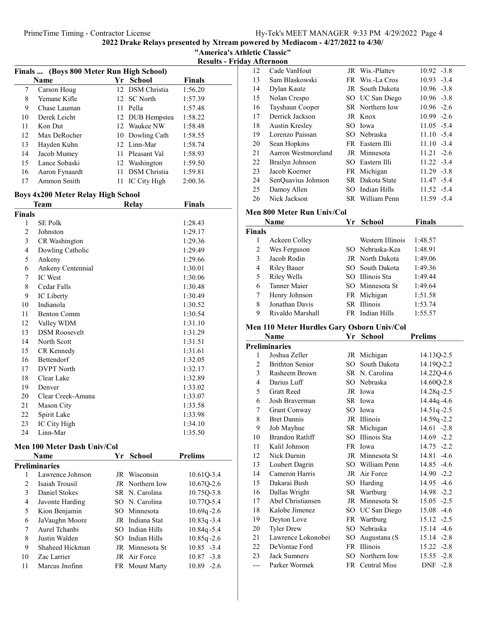"America's Athletic Classic"

Results - Friday Afternoon

|                | Finals  (Boys 800 Meter Run High School) |    |                     |                |
|----------------|------------------------------------------|----|---------------------|----------------|
|                | <b>Name</b>                              |    | Yr School           | <b>Finals</b>  |
| 7              | Carson Houg                              |    | 12 DSM Christia     | 1:56.20        |
| 8              | Yemane Kifle                             |    | 12 SC North         | 1:57.39        |
| 9              | Chase Lauman                             |    | 11 Pella            | 1:57.48        |
| 10             | Derek Leicht                             |    | 12 DUB Hempstea     | 1:58.22        |
| 11             | Kon Dut                                  |    | 12 Waukee NW        | 1:58.48        |
| 12             | Max DeRocher                             |    | 10 Dowling Cath     | 1:58.55        |
| 13             | Hayden Kuhn                              |    | 12 Linn-Mar         | 1:58.74        |
| 14             | Jacob Mumey                              |    | 11 Pleasant Val     | 1:58.93        |
| 15             | Lance Sobaski                            |    | 12 Washington       | 1:59.50        |
| 16             | Aaron Fynaardt                           | 11 | <b>DSM</b> Christia | 1:59.81        |
| 17             | Ammon Smith                              | 11 | IC City High        | 2:00.36        |
|                |                                          |    |                     |                |
|                | Boys 4x200 Meter Relay High School       |    |                     |                |
|                | Team                                     |    | <b>Relay</b>        | <b>Finals</b>  |
| Finals         |                                          |    |                     |                |
| 1              | <b>SE Polk</b>                           |    |                     | 1:28.43        |
| $\overline{c}$ | Johnston                                 |    |                     | 1:29.17        |
| 3              | CR Washington                            |    |                     | 1:29.36        |
| $\overline{4}$ | Dowling Catholic                         |    |                     | 1:29.49        |
| 5              | Ankeny                                   |    |                     | 1:29.66        |
| 6              | Ankeny Centennial                        |    |                     | 1:30.01        |
| 7              | IC West                                  |    |                     | 1:30.06        |
| 8              | Cedar Falls                              |    |                     | 1:30.48        |
| 9              | IC Liberty                               |    |                     | 1:30.49        |
| 10             | Indianola                                |    |                     | 1:30.52        |
| 11             | <b>Benton Comm</b>                       |    |                     | 1:30.54        |
| 12             | Valley WDM                               |    |                     | 1:31.10        |
| 13             | <b>DSM Roosevelt</b>                     |    |                     | 1:31.29        |
| 14             | North Scott                              |    |                     | 1:31.51        |
| 15             | CR Kennedy                               |    |                     | 1:31.61        |
| 16             | Bettendorf                               |    |                     | 1:32.05        |
| 17             | <b>DVPT</b> North                        |    |                     | 1:32.17        |
| 18             | Clear Lake                               |    |                     | 1:32.89        |
| 19             | Denver                                   |    |                     | 1:33.02        |
| 20             | Clear Creek-Amana                        |    |                     |                |
|                |                                          |    |                     | 1:33.07        |
| 21             | Mason City                               |    |                     | 1:33.58        |
| 22             | Spirit Lake                              |    |                     | 1:33.98        |
| 23             | IC City High<br>Linn-Mar                 |    |                     | 1:34.10        |
| 24             |                                          |    |                     | 1:35.50        |
|                | Men 100 Meter Dash Univ/Col              |    |                     |                |
|                | <b>Name</b>                              | Yr | School              | <b>Prelims</b> |
| 1              | <b>Preliminaries</b><br>Lawrence Johnson |    | JR Wisconsin        |                |
| $\overline{2}$ |                                          |    | JR Northern Iow     | 10.61Q-3.4     |
|                | Isaiah Trousil                           |    |                     | 10.67Q-2.6     |
| 3              | Daniel Stokes                            |    | SR N. Carolina      | 10.75Q-3.8     |
| 4              | Javonte Harding                          |    | SO N. Carolina      | 10.77Q-5.4     |
| 5              | Kion Benjamin                            |    | SO Minnesota        | $10.69q - 2.6$ |
| 6              | JaVaughn Moore                           |    | JR Indiana Stat     | $10.83q - 3.4$ |
| 7              | Aurel Tchanbi                            |    | SO Indian Hills     | 10.84q-5.4     |
| 8              | Justin Walden                            |    | SO Indian Hills     | $10.85q - 2.6$ |
| 9              | Shaheed Hickman                          |    | JR Minnesota St     | $10.85 - 3.4$  |
| 10             | Zac Larrier                              |    | JR Air Force        | $10.87 - 3.8$  |
| 11             | Marcus Jnofinn                           |    | FR Mount Marty      | $10.89 - 2.6$  |
|                |                                          |    |                     |                |

| 12 | Cade VanHout        | JR Wis.-Plattev | $10.92 - 3.8$ |
|----|---------------------|-----------------|---------------|
| 13 | Sam Blaskowski      | FR Wis.-La Cros | $10.93 - 3.4$ |
| 14 | Dylan Kautz         | JR South Dakota | $10.96 - 3.8$ |
| 15 | Nolan Crespo        | SO UC San Diego | $10.96 - 3.8$ |
| 16 | Tayshaun Cooper     | SR Northern Iow | $10.96 - 2.6$ |
| 17 | Derrick Jackson     | JR Knox         | $10.99 - 2.6$ |
| 18 | Austin Kresley      | SO Iowa         | $11.05 - 5.4$ |
| 19 | Lorenzo Paissan     | SO Nebraska     | $11.10 - 5.4$ |
| 20 | Sean Hopkins        | FR Eastern Illi | $11.10 - 3.4$ |
| 21 | Aarron Westmoreland | JR Minnesota    | $11.21 - 2.6$ |
| 22 | Brailyn Johnson     | SO Eastern Illi | $11.22 - 3.4$ |
| 23 | Jacob Koerner       | FR Michigan     | $11.29 - 3.8$ |
| 24 | SenQuavius Johnson  | SR Dakota State | $11.47 - 5.4$ |
| 25 | Damoy Allen         | SO Indian Hills | $11.52 - 5.4$ |
| 26 | Nick Jackson        | SR William Penn | $11.59 - 5.4$ |

#### Men 800 Meter Run Univ/Col

|               | <b>Name</b>         | Yr. | <b>School</b>          | <b>Finals</b> |
|---------------|---------------------|-----|------------------------|---------------|
| <b>Finals</b> |                     |     |                        |               |
| 1             | Ackeen Colley       |     | Western Illinois       | 1:48.57       |
| 2             | Wes Ferguson        |     | SO Nebraska-Kea        | 1:48.91       |
| 3             | Jacob Rodin         |     | <b>JR</b> North Dakota | 1:49.06       |
| 4             | <b>Riley Bauer</b>  |     | SO South Dakota        | 1:49.36       |
| 5             | Riley Wells         |     | SO Illinois Sta        | 1:49.44       |
| 6             | <b>Tanner Maier</b> |     | SO Minnesota St        | 1:49.64       |
| 7             | Henry Johnson       |     | FR Michigan            | 1:51.58       |
| 8             | Jonathan Davis      |     | SR Illinois            | 1:53.74       |
| 9             | Rivaldo Marshall    |     | FR Indian Hills        | 1:55.57       |

# Men 110 Meter Hurdles Gary Osborn Univ/Col

|                | Name                   | Yr  | <b>School</b>   | <b>Prelims</b> |
|----------------|------------------------|-----|-----------------|----------------|
|                | Preliminaries          |     |                 |                |
| 1              | Joshua Zeller          |     | JR Michigan     | 14.13Q-2.5     |
| $\overline{2}$ | <b>Brithton Senior</b> | SO. | South Dakota    | 14.19Q-2.2     |
| 3              | Rasheem Brown          |     | SR N. Carolina  | 14.22Q-4.6     |
| $\overline{4}$ | Darius Luff            |     | SO Nebraska     | 14.60Q-2.8     |
| 5              | <b>Gratt Reed</b>      |     | JR Iowa         | 14.28q-2.5     |
| 6              | Josh Braverman         |     | SR Iowa         | 14.44q-4.6     |
| 7              | <b>Grant Conway</b>    |     | SO Iowa         | 14.51q-2.5     |
| 8              | <b>Bret Dannis</b>     |     | JR Illinois     | 14.59q-2.2     |
| 9              | Job Mayhue             |     | SR Michigan     | $14.61 - 2.8$  |
| 10             | Brandon Ratliff        | SO. | Illinois Sta    | $14.69 -2.2$   |
| 11             | Kalil Johnson          |     | FR Iowa         | $14.75 - 2.2$  |
| 12             | Nick Durnin            |     | JR Minnesota St | 14.81 -4.6     |
| 13             | Loubert Dagrin         |     | SO William Penn | 14.85 -4.6     |
| 14             | Cameron Harris         |     | JR Air Force    | $14.90 -2.2$   |
| 15             | Dakarai Bush           | SO  | Harding         | 14.95 -4.6     |
| 16             | Dallas Wright          |     | SR Wartburg     | 14.98 -2.2     |
| 17             | Abel Christiansen      | JR  | Minnesota St    | $15.05 -2.5$   |
| 18             | Kalobe Jimenez         |     | SO UC San Diego | 15.08 -4.6     |
| 19             | Deyton Love            |     | FR Wartburg     | $15.12 -2.5$   |
| 20             | <b>Tyler Drew</b>      |     | SO Nebraska     | 15.14 -4.6     |
| 21             | Lawrence Lokonobei     | SO  | Augustana (S    | $15.14 -2.8$   |
| 22             | DeVontae Ford          |     | FR Illinois     | $15.22 - 2.8$  |
| 23             | Jack Sumners           | SO. | Northern Iow    | 15.55 -2.8     |
| ---            | Parker Wormek          |     | FR Central Miss | DNF -2.8       |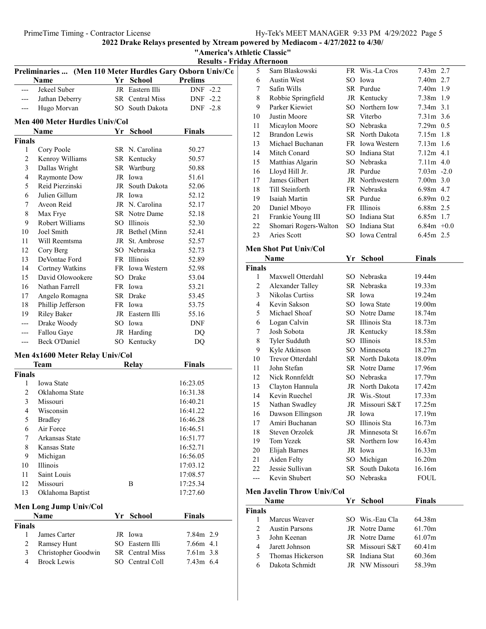2022 Drake Relays presented by Xtream powered by Mediacom - 4/27/2022 to 4/30/ "America's Athletic Classic"

|                |                                                            |    |                 |                | <b>Results - Friday Afternoon</b> |                |                     |
|----------------|------------------------------------------------------------|----|-----------------|----------------|-----------------------------------|----------------|---------------------|
|                | Preliminaries  (Men 110 Meter Hurdles Gary Osborn Univ/Co. |    |                 |                |                                   | 5.             | Sam B               |
|                | <b>Name</b>                                                |    | Yr School       | <b>Prelims</b> |                                   | 6              | Austin              |
| $---$          | Jekeel Suber                                               |    | JR Eastern Illi | DNF -2.2       |                                   | 7              | Safin V             |
| ---            | Jathan Deberry                                             |    | SR Central Miss | $DNF -2.2$     |                                   | 8              | Robbie              |
| ---            | Hugo Morvan                                                |    | SO South Dakota | DNF -2.8       |                                   | 9              | Parker              |
|                | Men 400 Meter Hurdles Univ/Col                             |    |                 |                |                                   | 10             | Justin 1            |
|                | Name                                                       |    | Yr School       | Finals         |                                   | 11             | Micayl              |
| <b>Finals</b>  |                                                            |    |                 |                |                                   | 12             | <b>Brando</b>       |
| 1              | Cory Poole                                                 |    | SR N. Carolina  | 50.27          |                                   | 13             | Micha               |
| $\overline{c}$ | Kenroy Williams                                            |    | SR Kentucky     | 50.57          |                                   | 14             | Mitch               |
| 3              | Dallas Wright                                              |    | SR Wartburg     | 50.88          |                                   | 15             | Matthi              |
| $\overline{4}$ | Raymonte Dow                                               |    | JR Iowa         | 51.61          |                                   | 16             | Lloyd I             |
| 5              | Reid Pierzinski                                            |    | JR South Dakota | 52.06          |                                   | 17             | James               |
| 6              | Julien Gillum                                              |    | JR Iowa         | 52.12          |                                   | 18             | Till Ste            |
| 7              | Aveon Reid                                                 |    | JR N. Carolina  | 52.17          |                                   | 19             | Isaiah <sup>1</sup> |
| $\,$ 8 $\,$    | Max Frye                                                   |    | SR Notre Dame   | 52.18          |                                   | 20             | Daniel              |
| 9              | Robert Williams                                            |    | SO Illinois     | 52.30          |                                   | 21             | Franki              |
| 10             | Joel Smith                                                 |    | JR Bethel (Minn | 52.41          |                                   | 22             | Shoma               |
| 11             | Will Reemtsma                                              |    | JR St. Ambrose  | 52.57          |                                   | 23             | Aries S             |
| 12             | Cory Berg                                                  |    | SO Nebraska     | 52.73          |                                   |                | <b>Men Shot Pu</b>  |
| 13             | DeVontae Ford                                              |    | FR Illinois     | 52.89          |                                   |                | <b>Name</b>         |
| 14             | Cortney Watkins                                            |    | FR Iowa Western | 52.98          |                                   | <b>Finals</b>  |                     |
| 15             | David Olowookere                                           |    | SO Drake        | 53.04          |                                   | $\mathbf{1}$   | Maxwe               |
| 16             | Nathan Farrell                                             |    | FR Iowa         | 53.21          |                                   | $\overline{2}$ | Alexan              |
| 17             | Angelo Romagna                                             |    | SR Drake        | 53.45          |                                   | 3              | Nikola              |
| 18             | Phillip Jefferson                                          |    | FR Iowa         | 53.75          |                                   | 4              | Kevin               |
| 19             | <b>Riley Baker</b>                                         |    | JR Eastern Illi | 55.16          |                                   | 5              | Micha               |
| ---            | Drake Woody                                                |    | SO Iowa         | <b>DNF</b>     |                                   | 6              | Logan               |
| ---            | Fallou Gaye                                                |    | JR Harding      | DQ             |                                   | 7              | Josh S              |
| ---            | Beck O'Daniel                                              |    | SO Kentucky     | DQ             |                                   | 8              | Tyler S             |
|                |                                                            |    |                 |                |                                   | 9              | Kyle A              |
|                | Men 4x1600 Meter Relay Univ/Col                            |    |                 |                |                                   | 10             | Trevor              |
|                | Team                                                       |    | <b>Relay</b>    | <b>Finals</b>  |                                   | 11             | John S              |
| <b>Finals</b>  |                                                            |    |                 |                |                                   | 12             | Nick R              |
| 1              | Iowa State                                                 |    |                 | 16:23.05       |                                   | 13             | Clayto              |
| $\overline{2}$ | Oklahoma State                                             |    |                 | 16:31.38       |                                   | 14             | Kevin               |
| 3              | Missouri                                                   |    |                 | 16:40.21       |                                   | 15             | Nathan              |
| $\overline{4}$ | Wisconsin                                                  |    |                 | 16:41.22       |                                   | 16             | Dawso               |
| 5              | <b>Bradley</b>                                             |    |                 | 16:46.28       |                                   | 17             | Amiri l             |
| 6              | Air Force                                                  |    |                 | 16:46.51       |                                   | 18             | Steven              |
| 7              | Arkansas State                                             |    |                 | 16:51.77       |                                   | 19             | Tom Y               |
| 8              | Kansas State                                               |    |                 | 16:52.71       |                                   | 20             | Elijah <sup>:</sup> |
| 9              | Michigan                                                   |    |                 | 16:56.05       |                                   | 21             | Aiden <sup>1</sup>  |
| 10             | Illinois<br>Saint Louis                                    |    |                 | 17:03.12       |                                   | 22             | Jessie !            |
| 11<br>12       | Missouri                                                   |    | Β               | 17:08.57       |                                   | ---            | Kevin               |
| 13             |                                                            |    |                 | 17:25.34       |                                   |                | <b>Men Javelin</b>  |
|                | Oklahoma Baptist                                           |    |                 | 17:27.60       |                                   |                | Name                |
|                | Men Long Jump Univ/Col                                     |    |                 |                |                                   | <b>Finals</b>  |                     |
|                | Name                                                       | Yr | <b>School</b>   | <b>Finals</b>  |                                   | 1              | Marcus              |
| <b>Finals</b>  |                                                            |    |                 |                |                                   | 2              | Austin              |
| $\mathbf{1}$   | James Carter                                               |    | JR Iowa         | 7.84m 2.9      |                                   | 3              | John K              |
| $\sqrt{2}$     | Ramsey Hunt                                                |    | SO Eastern Illi | 7.66m 4.1      |                                   | $\overline{4}$ | Jarett J            |
| 3              | Christopher Goodwin                                        |    | SR Central Miss | 7.61m 3.8      |                                   | 5              | Thoma               |
| $\overline{4}$ | <b>Brock Lewis</b>                                         |    | SO Central Coll | 7.43m 6.4      |                                   |                | Dakota              |

|                | <i><b>THINTHOOH</b></i>      |    |                 |                    |  |
|----------------|------------------------------|----|-----------------|--------------------|--|
| 5              | Sam Blaskowski               |    | FR Wis.-La Cros | 7.43m 2.7          |  |
| 6              | <b>Austin West</b>           |    | SO Iowa         | 7.40m 2.7          |  |
| 7              | Safin Wills                  |    | SR Purdue       | 7.40m 1.9          |  |
| 8              | Robbie Springfield           |    | JR Kentucky     | 7.38m 1.9          |  |
| 9              | Parker Kiewiet               |    | SO Northern Iow | 7.34m 3.1          |  |
| 10             | Justin Moore                 |    | SR Viterbo      | 7.31m 3.6          |  |
| 11             | Micaylon Moore               |    | SO Nebraska     | 7.29m 0.5          |  |
| 12             | <b>Brandon Lewis</b>         |    | SR North Dakota | 7.15m 1.8          |  |
| 13             | Michael Buchanan             |    | FR Iowa Western | 7.13m 1.6          |  |
| 14             | Mitch Conard                 |    | SO Indiana Stat | $7.12m$ 4.1        |  |
|                |                              |    |                 |                    |  |
| 15             | Matthias Algarin             |    | SO Nebraska     | $7.11m$ 4.0        |  |
| 16             | Lloyd Hill Jr.               |    | JR Purdue       | $7.03m -2.0$       |  |
| 17             | James Gilbert                |    | JR Northwestern | $7.00m$ 3.0        |  |
| 18             | Till Steinforth              |    | FR Nebraska     | 6.98m 4.7          |  |
| 19             | Isaiah Martin                |    | SR Purdue       | $6.89m$ 0.2        |  |
| 20             | Daniel Mboyo                 |    | FR Illinois     | 6.88m 2.5          |  |
| 21             | Frankie Young III            |    | SO Indiana Stat | $6.85m$ 1.7        |  |
| 22             | Shomari Rogers-Walton        |    | SO Indiana Stat | $6.84m + 0.0$      |  |
| 23             | Aries Scott                  |    | SO Iowa Central | 6.45m 2.5          |  |
|                | <b>Men Shot Put Univ/Col</b> |    |                 |                    |  |
|                |                              |    |                 |                    |  |
|                | Name                         | Yr | <b>School</b>   | <b>Finals</b>      |  |
| <b>Finals</b>  |                              |    |                 |                    |  |
| 1              | Maxwell Otterdahl            |    | SO Nebraska     | 19.44m             |  |
| 2              | Alexander Talley             |    | SR Nebraska     | 19.33 <sub>m</sub> |  |
| 3              | Nikolas Curtiss              |    | SR Iowa         | 19.24m             |  |
| 4              | Kevin Sakson                 |    | SO Iowa State   | 19.00m             |  |
| 5              | Michael Shoaf                |    | SO Notre Dame   | 18.74m             |  |
| 6              | Logan Calvin                 |    | SR Illinois Sta | 18.73m             |  |
| 7              | Josh Sobota                  |    | JR Kentucky     | 18.58m             |  |
| 8              | Tyler Sudduth                |    | SO Illinois     | 18.53m             |  |
| 9              | Kyle Atkinson                |    | SO Minnesota    | 18.27m             |  |
| 10             | Trevor Otterdahl             |    | SR North Dakota | 18.09m             |  |
| 11             | John Stefan                  |    | SR Notre Dame   | 17.96m             |  |
| 12             | Nick Ronnfeldt               |    | SO Nebraska     | 17.79m             |  |
| 13             | Clayton Hannula              |    | JR North Dakota | 17.42m             |  |
| 14             | Kevin Ruechel                |    | JR Wis.-Stout   | 17.33m             |  |
| 15             | Nathan Swadley               |    | JR Missouri S&T | 17.25m             |  |
| 16             | Dawson Ellingson             |    | JR Iowa         | 17.19m             |  |
| 17             | Amiri Buchanan               |    | SO Illinois Sta | 16.73m             |  |
| 18             | Steven Orzolek               |    | JR Minnesota St | 16.67m             |  |
| 19             | Tom Yezek                    |    | SR Northern Iow | 16.43m             |  |
| 20             | Elijah Barnes                |    | JR Iowa         | 16.33m             |  |
| 21             | Aiden Felty                  |    | SO Michigan     | 16.20m             |  |
| 22             | Jessie Sullivan              |    | SR South Dakota | 16.16m             |  |
|                | Kevin Shubert                |    |                 |                    |  |
| $---$          |                              |    | SO Nebraska     | <b>FOUL</b>        |  |
|                | Men Javelin Throw Univ/Col   |    |                 |                    |  |
|                | Name                         | Yr | School          | <b>Finals</b>      |  |
| <b>Finals</b>  |                              |    |                 |                    |  |
| 1              | Marcus Weaver                |    | SO Wis.-Eau Cla | 64.38m             |  |
| $\overline{2}$ | <b>Austin Parsons</b>        |    | JR Notre Dame   | 61.70m             |  |
| 3              | John Keenan                  |    | JR Notre Dame   | 61.07m             |  |
| 4              | Jarett Johnson               |    | SR Missouri S&T | 60.41m             |  |
| 5              | Thomas Hickerson             |    | SR Indiana Stat | 60.36m             |  |
| 6              | Dakota Schmidt               |    | JR NW Missouri  | 58.39m             |  |
|                |                              |    |                 |                    |  |
|                |                              |    |                 |                    |  |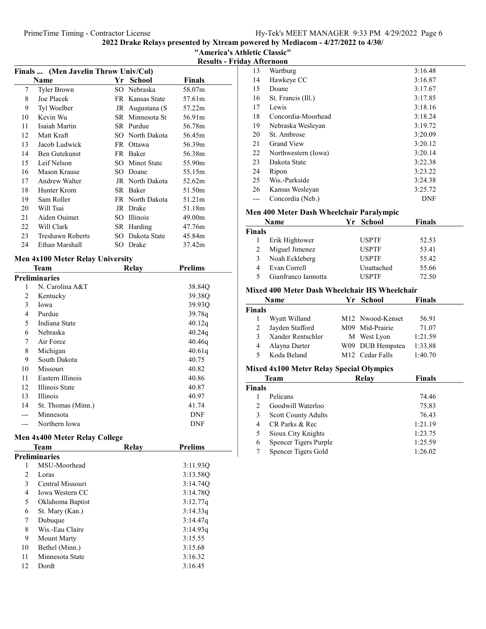| "America's Athletic Classic"      |
|-----------------------------------|
| <b>Results - Friday Afternoon</b> |

|                                      |                 |               | <b>Results - Friday At</b> |
|--------------------------------------|-----------------|---------------|----------------------------|
| Finals  (Men Javelin Throw Univ/Col) |                 |               | 13                         |
| <b>Name</b>                          | Yr School       | <b>Finals</b> | 14                         |
| Tyler Brown                          | SO Nebraska     | 58.07m        | 15                         |
| Joe Placek                           | FR Kansas State | 57.61m        | 16                         |

| 7  | <b>Tyler Brown</b> |     | SO Nebraska     | 58.07m             |
|----|--------------------|-----|-----------------|--------------------|
| 8  | Joe Placek         |     | FR Kansas State | 57.61m             |
| 9  | Tyl Woelber        |     | JR Augustana (S | 57.22m             |
| 10 | Kevin Wu           |     | SR Minnesota St | 56.91m             |
| 11 | Isaiah Martin      |     | SR Purdue       | 56.78m             |
| 12 | Matt Kraft         |     | SO North Dakota | 56.45m             |
| 13 | Jacob Ludwick      |     | FR Ottawa       | 56.39m             |
| 14 | Ben Gutekunst      |     | FR Baker        | 56.38m             |
| 15 | Leif Nelson        | SO. | Minot State     | 55.90m             |
| 16 | Mason Krause       |     | SO Doane        | 55.15m             |
| 17 | Andrew Walter      |     | JR North Dakota | 52.62m             |
| 18 | Hunter Krom        |     | SR Baker        | 51.50m             |
| 19 | Sam Roller         |     | FR North Dakota | 51.21m             |
| 20 | Will Tsai          | JR  | Drake           | 51.18m             |
| 21 | Aiden Ouimet       | SO. | <b>Illinois</b> | 49.00 <sub>m</sub> |
| 22 | Will Clark         |     | SR Harding      | 47.76m             |
| 23 | Treshawn Roberts   | SO. | Dakota State    | 45.84m             |
| 24 | Ethan Marshall     |     | SO Drake        | 37.42m             |

# Men 4x100 Meter Relay University

|    | Team               | Relay | <b>Prelims</b> |
|----|--------------------|-------|----------------|
|    | Preliminaries      |       |                |
| 1  | N. Carolina A&T    |       | 38.84Q         |
| 2  | Kentucky           |       | 39.38Q         |
| 3  | Iowa               |       | 39.93Q         |
| 4  | Purdue             |       | 39.78q         |
| 5  | Indiana State      |       | 40.12q         |
| 6  | <b>Nebraska</b>    |       | 40.24q         |
| 7  | Air Force          |       | 40.46g         |
| 8  | Michigan           |       | 40.61q         |
| 9  | South Dakota       |       | 40.75          |
| 10 | Missouri           |       | 40.82          |
| 11 | Eastern Illinois   |       | 40.86          |
| 12 | Illinois State     |       | 40.87          |
| 13 | Illinois           |       | 40.97          |
| 14 | St. Thomas (Minn.) |       | 41.74          |
|    | Minnesota          |       | <b>DNF</b>     |
|    | Northern Iowa      |       | <b>DNF</b>     |
|    |                    |       |                |

#### Men 4x400 Meter Relay College

| Team |                        | <b>Relay</b> | <b>Prelims</b> |
|------|------------------------|--------------|----------------|
|      | <b>Preliminaries</b>   |              |                |
| 1    | MSU-Moorhead           |              | 3:11.93Q       |
| 2    | Loras                  |              | 3:13.58O       |
| 3    | Central Missouri       |              | 3:14.74O       |
| 4    | <b>Iowa Western CC</b> |              | 3:14.78Q       |
| 5    | Oklahoma Baptist       |              | 3:12.77q       |
| 6    | St. Mary (Kan.)        |              | 3:14.33q       |
| 7    | Dubuque                |              | 3:14.47q       |
| 8    | Wis.-Eau Claire        |              | 3:14.93q       |
| 9    | Mount Marty            |              | 3:15.55        |
| 10   | Bethel (Minn.)         |              | 3:15.68        |
| 11   | Minnesota State        |              | 3:16.32        |
| 12   | Dordt                  |              | 3:16.45        |

| 13 | Wartburg            | 3:16.48 |
|----|---------------------|---------|
| 14 | Hawkeye CC          | 3:16.87 |
| 15 | Doane               | 3:17.67 |
| 16 | St. Francis (Ill.)  | 3:17.85 |
| 17 | Lewis               | 3:18.16 |
| 18 | Concordia-Moorhead  | 3:18.24 |
| 19 | Nebraska Wesleyan   | 3:19.72 |
| 20 | St. Ambrose         | 3:20.09 |
| 21 | <b>Grand View</b>   | 3:20.12 |
| 22 | Northwestern (Iowa) | 3:20.14 |
| 23 | Dakota State        | 3:22.38 |
| 24 | Ripon               | 3:23.22 |
| 25 | Wis.-Parkside       | 3:24.38 |
| 26 | Kansas Wesleyan     | 3:25.72 |
|    | Concordia (Neb.)    | DNF     |

#### Men 400 Meter Dash Wheelchair Paralympic

|               | Name                | Yr School    | <b>Finals</b> |  |
|---------------|---------------------|--------------|---------------|--|
| <b>Finals</b> |                     |              |               |  |
|               | Erik Hightower      | <b>USPTF</b> | 52.53         |  |
| 2             | Miguel Jimenez      | <b>USPTF</b> | 53.41         |  |
| 3             | Noah Eckleberg      | <b>USPTF</b> | 55.42         |  |
| 4             | Evan Correll        | Unattached   | 55.66         |  |
| 5             | Gianfranco Iannotta | <b>USPTF</b> | 72.50         |  |
|               |                     |              |               |  |

### Mixed 400 Meter Dash Wheelchair HS Wheelchair

|               | <b>Name</b>       | Yr School                    | <b>Finals</b> |  |
|---------------|-------------------|------------------------------|---------------|--|
| <b>Finals</b> |                   |                              |               |  |
|               | Wyatt Willand     | M <sub>12</sub> Nwood-Kenset | 56.91         |  |
|               | Jayden Stafford   | M09 Mid-Prairie              | 71.07         |  |
| 3             | Xander Rentschler | M West Lyon                  | 1:21.59       |  |
|               | Alayna Darter     | W09 DUB Hempstea             | 1:33.88       |  |
| 5             | Koda Beland       | M <sub>12</sub> Cedar Falls  | 1:40.70       |  |
|               |                   |                              |               |  |

# Mixed 4x100 Meter Relay Special Olympics

|               | Team                       | Relay | <b>Finals</b> |  |
|---------------|----------------------------|-------|---------------|--|
| <b>Finals</b> |                            |       |               |  |
|               | Pelicans                   |       | 74.46         |  |
| $\mathcal{D}$ | Goodwill Waterloo          |       | 75.83         |  |
| 3             | <b>Scott County Adults</b> |       | 76.43         |  |
| 4             | CR Parks & Rec             |       | 1:21.19       |  |
| 5             | Sioux City Knights         |       | 1:23.75       |  |
| 6             | Spencer Tigers Purple      |       | 1:25.59       |  |
|               | Spencer Tigers Gold        |       | 1:26.02       |  |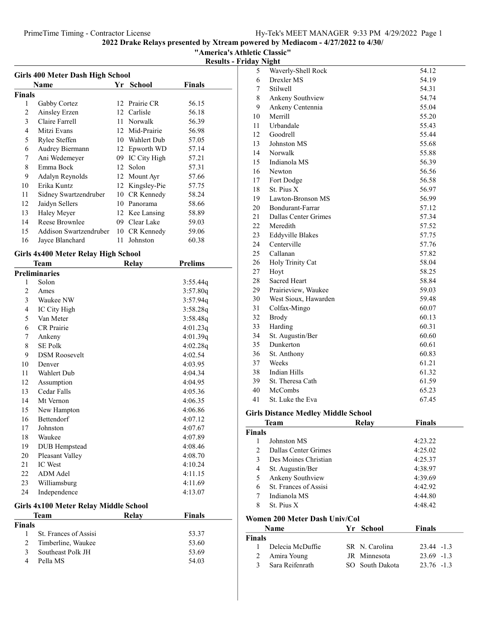"America's Athletic Classic"

| <b>Girls 400 Meter Dash High School</b><br>Finals<br>Name<br>Yr School |                        |    |                |       |  |  |
|------------------------------------------------------------------------|------------------------|----|----------------|-------|--|--|
| Finals                                                                 |                        |    |                |       |  |  |
| 1                                                                      | Gabby Cortez           |    | 12 Prairie CR  | 56.15 |  |  |
| $\mathfrak{D}$                                                         | Ainsley Erzen          |    | 12 Carlisle    | 56.18 |  |  |
| 3                                                                      | Claire Farrell         | 11 | Norwalk        | 56.39 |  |  |
| 4                                                                      | Mitzi Evans            | 12 | Mid-Prairie    | 56.98 |  |  |
| 5                                                                      | Rylee Steffen          | 10 | Wahlert Dub    | 57.05 |  |  |
| 6                                                                      | Audrey Biermann        | 12 | Epworth WD     | 57.14 |  |  |
| 7                                                                      | Ani Wedemeyer          | 09 | IC City High   | 57.21 |  |  |
| 8                                                                      | Emma Bock              |    | 12 Solon       | 57.31 |  |  |
| 9                                                                      | Adalyn Reynolds        | 12 | Mount Ayr      | 57.66 |  |  |
| 10                                                                     | Erika Kuntz            | 12 | Kingsley-Pie   | 57.75 |  |  |
| 11                                                                     | Sidney Swartzendruber  | 10 | CR Kennedy     | 58.24 |  |  |
| 12                                                                     | Jaidyn Sellers         | 10 | Panorama       | 58.66 |  |  |
| 13                                                                     | Haley Meyer            |    | 12 Kee Lansing | 58.89 |  |  |
| 14                                                                     | Reese Brownlee         | 09 | Clear Lake     | 59.03 |  |  |
| 15                                                                     | Addison Swartzendruber | 10 | CR Kennedy     | 59.06 |  |  |
| 16                                                                     | Jayce Blanchard        | 11 | Johnston       | 60.38 |  |  |
|                                                                        |                        |    |                |       |  |  |

# Girls 4x400 Meter Relay High School

|        | Team                                  | Relay | <b>Prelims</b> |
|--------|---------------------------------------|-------|----------------|
|        | <b>Preliminaries</b>                  |       |                |
| 1      | Solon                                 |       | 3:55.44q       |
| 2      | Ames                                  |       | 3:57.80q       |
| 3      | Waukee NW                             |       | 3:57.94q       |
| 4      | IC City High                          |       | 3:58.28q       |
| 5      | Van Meter                             |       | 3:58.48q       |
| 6      | <b>CR</b> Prairie                     |       | 4:01.23q       |
| 7      | Ankeny                                |       | 4:01.39q       |
| 8      | <b>SE Polk</b>                        |       | 4:02.28q       |
| 9      | <b>DSM Roosevelt</b>                  |       | 4:02.54        |
| 10     | Denver                                |       | 4:03.95        |
| 11     | Wahlert Dub                           |       | 4:04.34        |
| 12     | Assumption                            |       | 4:04.95        |
| 13     | Cedar Falls                           |       | 4:05.36        |
| 14     | Mt Vernon                             |       | 4:06.35        |
| 15     | New Hampton                           |       | 4:06.86        |
| 16     | <b>Bettendorf</b>                     |       | 4:07.12        |
| 17     | Johnston                              |       | 4:07.67        |
| 18     | Waukee                                |       | 4:07.89        |
| 19     | <b>DUB</b> Hempstead                  |       | 4:08.46        |
| 20     | Pleasant Valley                       |       | 4:08.70        |
| 21     | <b>IC</b> West                        |       | 4:10.24        |
| 22     | <b>ADM</b> Adel                       |       | 4:11.15        |
| 23     | Williamsburg                          |       | 4:11.69        |
| 24     | Independence                          |       | 4:13.07        |
|        | Girls 4x100 Meter Relay Middle School |       |                |
|        | Team                                  | Relay | <b>Finals</b>  |
| Finale |                                       |       |                |

| Finals |                         |       |
|--------|-------------------------|-------|
|        | 1 St. Frances of Assisi | 53.37 |
|        | 2 Timberline, Waukee    | 53.60 |
|        | 3 Southeast Polk JH     | 53.69 |
| 4      | Pella MS                | 54.03 |

| 5         | Waverly-Shell Rock      | 54.12 |
|-----------|-------------------------|-------|
| 6         | Drexler MS              | 54.19 |
| 7         | Stilwell                | 54.31 |
| $\,$ $\,$ | Ankeny Southview        | 54.74 |
| 9         | Ankeny Centennia        | 55.04 |
| 10        | Merrill                 | 55.20 |
| 11        | Urbandale               | 55.43 |
| 12        | Goodrell                | 55.44 |
| 13        | Johnston MS             | 55.68 |
| 14        | Norwalk                 | 55.88 |
| 15        | Indianola MS            | 56.39 |
| 16        | Newton                  | 56.56 |
| 17        | Fort Dodge              | 56.58 |
| 18        | St. Pius X              | 56.97 |
| 19        | Lawton-Bronson MS       | 56.99 |
| 20        | Bondurant-Farrar        | 57.12 |
| 21        | Dallas Center Grimes    | 57.34 |
| 22        | Meredith                | 57.52 |
| 23        | <b>Eddyville Blakes</b> | 57.75 |
| 24        | Centerville             | 57.76 |
| 25        | Callanan                | 57.82 |
| 26        | Holy Trinity Cat        | 58.04 |
| 27        | Hoyt                    | 58.25 |
| 28        | <b>Sacred Heart</b>     | 58.84 |
| 29        | Prairieview, Waukee     | 59.03 |
| 30        | West Sioux, Hawarden    | 59.48 |
| 31        | Colfax-Mingo            | 60.07 |
| 32        | <b>Brody</b>            | 60.13 |
| 33        | Harding                 | 60.31 |
| 34        | St. Augustin/Ber        | 60.60 |
| 35        | Dunkerton               | 60.61 |
| 36        | St. Anthony             | 60.83 |
| 37        | Weeks                   | 61.21 |
| 38        | Indian Hills            | 61.32 |
| 39        | St. Theresa Cath        | 61.59 |
| 40        | McCombs                 | 65.23 |
| 41        | St. Luke the Eva        | 67.45 |

# Girls Distance Medley Middle School

|               | Team                  | Relav | <b>Finals</b> |
|---------------|-----------------------|-------|---------------|
| <b>Finals</b> |                       |       |               |
|               | Johnston MS           |       | 4:23.22       |
| $\mathcal{L}$ | Dallas Center Grimes  |       | 4:25.02       |
| 3             | Des Moines Christian  |       | 4:25.37       |
| 4             | St. Augustin/Ber      |       | 4:38.97       |
| 5             | Ankeny Southview      |       | 4:39.69       |
| 6             | St. Frances of Assisi |       | 4:42.92       |
| 7             | Indianola MS          |       | 4:44.80       |
| 8             | St. Pius X            |       | 4:48.42       |

# Women 200 Meter Dash Univ/Col

|               | <b>Name</b>       | Yr School           | <b>Finals</b> |
|---------------|-------------------|---------------------|---------------|
| <b>Finals</b> |                   |                     |               |
| Ι.            | Delecia McDuffie  | SR N. Carolina      | 23.44 -1.3    |
|               | 2 Amira Young     | <b>IR</b> Minnesota | $23.69 -1.3$  |
| 3             | - Sara Reifenrath | SO South Dakota     | 23.76 -1.3    |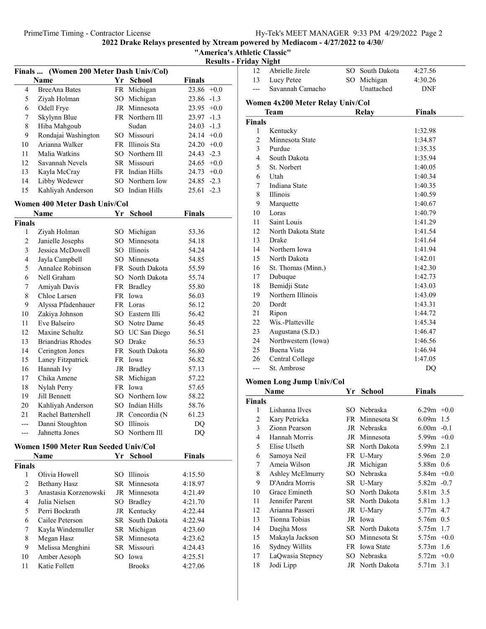|  |  | "America's Athletic Classic" |  |
|--|--|------------------------------|--|
|  |  |                              |  |

| <b>Results - Friday Night</b> |  |  |
|-------------------------------|--|--|
|-------------------------------|--|--|

|                             | Finals  (Women 200 Meter Dash Univ/Col) |      |                 |                 |
|-----------------------------|-----------------------------------------|------|-----------------|-----------------|
| <b>School</b><br>Name<br>Yr |                                         |      |                 | <b>Finals</b>   |
| 4                           | <b>BreeAna Bates</b>                    |      | FR Michigan     | $23.86 +0.0$    |
| 5                           | Ziyah Holman                            | SO   | Michigan        | $-1.3$<br>23.86 |
| 6                           | Odell Frye                              |      | JR Minnesota    | 23.95<br>$+0.0$ |
| 7                           | Skylynn Blue                            |      | FR Northern Ill | $-1.3$<br>23.97 |
| 8                           | Hiba Mahgoub                            |      | Sudan           | $24.03 -1.3$    |
| 9                           | Rondajai Washington                     |      | SO Missouri     | $24.14 +0.0$    |
| 10                          | Arianna Walker                          | FR - | Illinois Sta    | 24.20<br>$+0.0$ |
| 11                          | Malia Watkins                           |      | SO Northern Ill | $24.43 - 2.3$   |
| 12                          | Savannah Nevels                         |      | SR Missouri     | 24.65<br>$+0.0$ |
| 13                          | Kayla McCray                            |      | FR Indian Hills | $24.73 +0.0$    |
| 14                          | Libby Wedewer                           |      | SO Northern Iow | $24.85 -2.3$    |
| 15                          | Kahliyah Anderson                       |      | SO Indian Hills | $25.61 -2.3$    |
|                             | Women 400 Meter Dash Univ/Col           |      |                 |                 |
|                             | Name                                    | Yr   | <b>School</b>   | <b>Finals</b>   |
| <b>Finals</b>               |                                         |      |                 |                 |
| 1                           | Ziyah Holman                            |      | SO Michigan     | 53.36           |
| 2                           | Janielle Josephs                        | SO.  | Minnesota       | 54.18           |
| 3                           | Jessica McDowell                        |      | SO Illinois     | 54.24           |
| 4                           | Jayla Campbell                          |      | SO Minnesota    | 54.85           |
| 5                           | Annalee Robinson                        |      | FR South Dakota | 55.59           |
| 6                           | Nell Graham                             |      | SO North Dakota | 55.74           |
| 7                           | Amiyah Davis                            |      | FR Bradley      | 55.80           |
| 8                           | Chloe Larsen                            |      | FR Iowa         | 56.03           |
| 9                           | Alvssa Pfadenhauer                      |      | FR Loras        | 56.12           |

|                | Name               | Yr     | School          | Finals |  |
|----------------|--------------------|--------|-----------------|--------|--|
| Finals         |                    |        |                 |        |  |
| 1              | Ziyah Holman       | SO.    | Michigan        | 53.36  |  |
| $\overline{2}$ | Janielle Josephs   | SO.    | Minnesota       | 54.18  |  |
| 3              | Jessica McDowell   |        | SO Illinois     | 54.24  |  |
| 4              | Jayla Campbell     |        | SO Minnesota    | 54.85  |  |
| 5              | Annalee Robinson   |        | FR South Dakota | 55.59  |  |
| 6              | Nell Graham        | $SO^-$ | North Dakota    | 55.74  |  |
| 7              | Amiyah Davis       |        | FR Bradley      | 55.80  |  |
| 8              | Chloe Larsen       |        | FR Iowa         | 56.03  |  |
| 9              | Alyssa Pfadenhauer |        | FR Loras        | 56.12  |  |
| 10             | Zakiya Johnson     |        | SO Eastern Illi | 56.42  |  |
| 11             | Eve Balseiro       |        | SO Notre Dame   | 56.45  |  |
| 12             | Maxine Schultz     |        | SO UC San Diego | 56.51  |  |
| 13             | Briandrias Rhodes  |        | SO Drake        | 56.53  |  |
| 14             | Cerington Jones    |        | FR South Dakota | 56.80  |  |
| 15             | Laney Fitzpatrick  |        | FR Iowa         | 56.82  |  |
| 16             | Hannah Ivy         | JR     | <b>Bradley</b>  | 57.13  |  |
| 17             | Chika Amene        | SR     | Michigan        | 57.22  |  |
| 18             | Nylah Perry        | FR     | Iowa            | 57.65  |  |
| 19             | Jill Bennett       |        | SO Northern Iow | 58.22  |  |
| 20             | Kahliyah Anderson  | SO     | Indian Hills    | 58.76  |  |
| 21             | Rachel Battershell |        | JR Concordia (N | 61.23  |  |
| ---            | Danni Stoughton    | SO     | <b>Illinois</b> | DQ     |  |
| ---            | Jahnetta Jones     | SO     | Northern Ill    | DQ     |  |
|                |                    |        |                 |        |  |

# Women 1500 Meter Run Seeded Univ/Col

|               | <b>Name</b>           |     | Yr School       | Finals  |
|---------------|-----------------------|-----|-----------------|---------|
| <b>Finals</b> |                       |     |                 |         |
|               | Olivia Howell         |     | SO Illinois     | 4:15.50 |
| 2             | Bethany Hasz          |     | SR Minnesota    | 4:18.97 |
| 3             | Anastasia Korzenowski |     | JR Minnesota    | 4:21.49 |
| 4             | Julia Nielsen         |     | SO Bradley      | 4:21.70 |
| 5             | Perri Bockrath        |     | JR Kentucky     | 4:22.44 |
| 6             | Cailee Peterson       |     | SR South Dakota | 4:22.94 |
| 7             | Kayla Windemuller     |     | SR Michigan     | 4:23.60 |
| 8             | Megan Hasz            |     | SR Minnesota    | 4:23.62 |
| 9             | Melissa Menghini      |     | SR Missouri     | 4:24.43 |
| 10            | Amber Aesoph          | SO. | Iowa            | 4:25.51 |
| 11            | Katie Follett         |     | <b>Brooks</b>   | 4:27.06 |

| кау газні      |                                  |                 |               |  |
|----------------|----------------------------------|-----------------|---------------|--|
| 12             | Abrielle Jirele                  | SO South Dakota | 4:27.56       |  |
| 13             | Lucy Petee                       | SO Michigan     | 4:30.26       |  |
| ---            | Savannah Camacho                 | Unattached      | DNF           |  |
|                | Women 4x200 Meter Relay Univ/Col |                 |               |  |
|                | Team                             | <b>Relay</b>    | <b>Finals</b> |  |
| Finals         |                                  |                 |               |  |
| 1              | Kentucky                         |                 | 1:32.98       |  |
| $\mathfrak{2}$ | Minnesota State                  |                 | 1:34.87       |  |
| 3              | Purdue                           |                 | 1:35.35       |  |
| $\overline{4}$ | South Dakota                     |                 | 1:35.94       |  |
| 5              | St. Norbert                      |                 | 1:40.05       |  |
| 6              | Utah                             |                 | 1:40.34       |  |
| 7              | <b>Indiana State</b>             |                 | 1:40.35       |  |
| 8              | Illinois                         |                 | 1:40.59       |  |
| 9              | Marquette                        |                 | 1:40.67       |  |
| 10             | Loras                            |                 | 1:40.79       |  |
| 11             | Saint Louis                      |                 | 1:41.29       |  |
| 12             | North Dakota State               |                 | 1:41.54       |  |
| 13             | Drake                            |                 | 1:41.64       |  |
| 14             | Northern Iowa                    |                 | 1:41.94       |  |
| 15             | North Dakota                     |                 | 1:42.01       |  |
| 16             | St. Thomas (Minn.)               |                 | 1:42.30       |  |
| 17             | Dubuque                          |                 | 1:42.73       |  |
| 18             | Bemidji State                    |                 | 1:43.03       |  |
| 19             | Northern Illinois                |                 | 1:43.09       |  |
| 20             | Dordt                            |                 | 1:43.31       |  |
| 21             | Ripon                            |                 | 1:44.72       |  |
| 22             | Wis.-Platteville                 |                 | 1:45.34       |  |
| 23             | Augustana (S.D.)                 |                 | 1:46.47       |  |
| 24             | Northwestern (Iowa)              |                 | 1:46.56       |  |
| 25             | <b>Buena Vista</b>               |                 | 1:46.94       |  |
| 26             | Central College                  |                 | 1:47.05       |  |
| ---            | St. Ambrose                      |                 | DQ            |  |
|                |                                  |                 |               |  |

# Women Long Jump Univ/Col

|               | Name             | Yr | <b>School</b>   | <b>Finals</b> |  |
|---------------|------------------|----|-----------------|---------------|--|
| <b>Finals</b> |                  |    |                 |               |  |
| 1             | Lishanna Ilves   |    | SO Nebraska     | $6.29m +0.0$  |  |
| 2             | Kary Petricka    |    | FR Minnesota St | $6.09m$ 1.5   |  |
| 3             | Zionn Pearson    |    | JR Nebraska     | $6.00m - 0.1$ |  |
| 4             | Hannah Morris    |    | JR Minnesota    | $5.99m +0.0$  |  |
| 5             | Elise Ulseth     |    | SR North Dakota | 5.99m 2.1     |  |
| 6             | Samoya Neil      |    | FR U-Mary       | 5.96m 2.0     |  |
| 7             | Ameia Wilson     |    | JR Michigan     | 5.88m 0.6     |  |
| 8             | Ashley McElmurry |    | SO Nebraska     | $5.84m +0.0$  |  |
| 9             | D'Andra Morris   |    | SR U-Mary       | $5.82m -0.7$  |  |
| 10            | Grace Emineth    |    | SO North Dakota | 5.81m 3.5     |  |
| 11            | Jennifer Parent  |    | SR North Dakota | 5.81m 1.3     |  |
| 12            | Arianna Passeri  |    | JR U-Mary       | 5.77m 4.7     |  |
| 13            | Tionna Tobias    |    | JR Iowa         | 5.76m 0.5     |  |
| 14            | Daejha Moss      |    | SR North Dakota | 5.75m 1.7     |  |
| 15            | Makayla Jackson  |    | SO Minnesota St | $5.75m +0.0$  |  |
| 16            | Sydney Willits   |    | FR Iowa State   | 5.73m 1.6     |  |
| 17            | LaQwasia Stepney |    | SO Nebraska     | $5.72m +0.0$  |  |
| 18            | Jodi Lipp        |    | JR North Dakota | 5.71m 3.1     |  |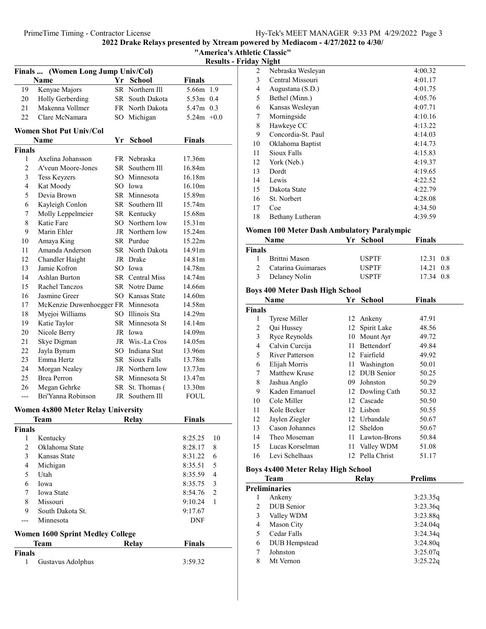2022 Drake Relays presented by Xtream powered by Mediacom - 4/27/2022 to 4/30/ "America's Athletic Classic"

|                | Finals  (Women Long Jump Univ/Col) |      |                       |               |
|----------------|------------------------------------|------|-----------------------|---------------|
|                | <b>Name</b>                        |      | Yr School             | <b>Finals</b> |
| 19             | Kenyae Majors                      |      | SR Northern Ill       | 5.66m 1.9     |
| 20             | Holly Gerberding                   | SR - | South Dakota          | 5.53m 0.4     |
| 21             | Makenna Vollmer                    |      | FR North Dakota       | 5.47m 0.3     |
| 22             | Clare McNamara                     | SO.  | Michigan              | $5.24m +0.0$  |
|                | <b>Women Shot Put Univ/Col</b>     |      |                       |               |
|                | Name                               | Yr   | <b>School</b>         | <b>Finals</b> |
| <b>Finals</b>  |                                    |      |                       |               |
| 1              | Axelina Johansson                  |      | FR Nebraska           | 17.36m        |
| $\overline{2}$ | A'veun Moore-Jones                 |      | SR Southern Ill       | 16.84m        |
| 3              | <b>Tess Keyzers</b>                |      | SO Minnesota          | 16.18m        |
| $\overline{4}$ | Kat Moody                          |      | SO Iowa               | 16.10m        |
| 5              | Devia Brown                        |      | SR Minnesota          | 15.89m        |
| 6              | Kayleigh Conlon                    |      | SR Southern Ill       | 15.74m        |
| 7              | Molly Leppelmeier                  |      | SR Kentucky           | 15.68m        |
| 8              | Katie Fare                         |      | SO Northern Iow       | 15.31m        |
| 9              | Marin Ehler                        |      | JR Northern Iow       | 15.24m        |
| 10             | Amaya King                         |      | SR Purdue             | 15.22m        |
| 11             | Amanda Anderson                    |      | SR North Dakota       | 14.91m        |
| 12             | Chandler Haight                    |      | JR Drake              | 14.81m        |
| 13             | Jamie Kofron                       | SO   | Iowa                  | 14.78m        |
| 14             | Ashlan Burton                      | SR - | <b>Central Miss</b>   | 14.74m        |
| 15             | Rachel Tanczos                     |      | SR Notre Dame         | 14.66m        |
| 16             | Jasmine Greer                      |      | SO Kansas State       | 14.60m        |
| 17             | McKenzie Duwenhoegger FR Minnesota |      |                       | 14.58m        |
| 18             | Myejoi Williams                    |      | SO Illinois Sta       | 14.29m        |
| 19             | Katie Taylor                       |      | SR Minnesota St       | 14.14m        |
| 20             | Nicole Berry                       |      | JR Iowa               | 14.09m        |
| 21             | Skye Digman                        |      | JR Wis.-La Cros       | 14.05m        |
| 22             | Jayla Bynum                        |      | SO Indiana Stat       | 13.96m        |
| 23             | Emma Hertz                         |      | <b>SR</b> Sioux Falls | 13.78m        |
| 24             | Morgan Nealey                      |      | JR Northern Iow       | 13.73m        |
| 25             | <b>Brea Perron</b>                 |      | SR Minnesota St       | 13.47m        |
| 26             | Megan Gehrke                       |      | SR St. Thomas (       | 13.30m        |
| ---            | Bri'Yanna Robinson                 | JR   | Southern Ill          | <b>FOUL</b>   |

#### Women 4x800 Meter Relay University

|        | <b>Team</b>                      | Relay | <b>Finals</b> |                |
|--------|----------------------------------|-------|---------------|----------------|
| Finals |                                  |       |               |                |
| 1      | Kentucky                         |       | 8:25.25       | 10             |
| 2      | Oklahoma State                   |       | 8:28.17       | 8              |
| 3      | Kansas State                     |       | 8:31.22       | 6              |
| 4      | Michigan                         |       | 8:35.51       | 5              |
| 5      | Utah                             |       | 8:35.59       | 4              |
| 6      | Iowa                             |       | 8:35.75       | 3              |
| 7      | <b>Iowa State</b>                |       | 8:54.76       | $\overline{2}$ |
| 8      | Missouri                         |       | 9:10.24       | 1              |
| 9      | South Dakota St.                 |       | 9:17.67       |                |
|        | Minnesota                        |       | <b>DNF</b>    |                |
|        | Women 1600 Sprint Medley College |       |               |                |
|        | <b>Team</b>                      | Relay | <b>Finals</b> |                |
| Finals |                                  |       |               |                |
| 1      | Gustavus Adolphus                |       | 3:59.32       |                |

| <b>Results - Friday Night</b> |    |                    |         |
|-------------------------------|----|--------------------|---------|
|                               | 2  | Nebraska Wesleyan  | 4:00.32 |
|                               | 3  | Central Missouri   | 4:01.17 |
| າ 1.9                         | 4  | Augustana (S.D.)   | 4:01.75 |
| າ 0.4                         | 5  | Bethel (Minn.)     | 4:05.76 |
| 10.3                          | 6  | Kansas Wesleyan    | 4:07.71 |
| $1+0.0$                       | 7  | Morningside        | 4:10.16 |
|                               | 8  | Hawkeye CC         | 4:13.22 |
|                               | 9  | Concordia-St. Paul | 4:14.03 |
|                               | 10 | Oklahoma Baptist   | 4:14.73 |
|                               | 11 | Sioux Falls        | 4:15.83 |
|                               | 12 | York (Neb.)        | 4:19.37 |
|                               | 13 | Dordt              | 4:19.65 |
|                               | 14 | Lewis              | 4:22.52 |
|                               | 15 | Dakota State       | 4:22.79 |
| ï                             | 16 | St. Norbert        | 4:28.08 |
|                               | 17 | Coe                | 4:34.50 |
|                               | 18 | Bethany Lutheran   | 4:39.59 |
|                               |    |                    |         |

#### Women 100 Meter Dash Ambulatory Paralympic

|               | <b>Name</b>        | Yr School    | <b>Finals</b> |
|---------------|--------------------|--------------|---------------|
| Finals        |                    |              |               |
| 1.            | Brittni Mason      | <b>USPTF</b> | 12.31 0.8     |
| $\mathcal{D}$ | Catarina Guimaraes | <b>USPTF</b> | 14.21 0.8     |
| 3             | Delaney Nolin      | <b>USPTF</b> | 17.34 0.8     |

# Boys 400 Meter Dash High School

|                | Name                                                                                                        | Yr | <b>School</b>   | Finals  |
|----------------|-------------------------------------------------------------------------------------------------------------|----|-----------------|---------|
| Finals         |                                                                                                             |    |                 |         |
| 1              | <b>Tyrese Miller</b>                                                                                        |    | 12 Ankeny       | 47.91   |
| 2              | Qai Hussey                                                                                                  | 12 | Spirit Lake     | 48.56   |
| 3              | Ryce Reynolds                                                                                               | 10 | Mount Ayr       | 49.72   |
| $\overline{4}$ | Calvin Curcija                                                                                              | 11 | Bettendorf      | 49.84   |
| 5              | <b>River Patterson</b>                                                                                      |    | 12 Fairfield    | 49.92   |
| 6              | Elijah Morris                                                                                               |    | 11 Washington   | 50.01   |
| 7              | Matthew Kruse                                                                                               |    | 12 DUB Senior   | 50.25   |
| 8              | Jashua Anglo                                                                                                | 09 | Johnston        | 50.29   |
| 9              | Kaden Emanuel                                                                                               |    | 12 Dowling Cath | 50.32   |
| 10             | Cole Miller                                                                                                 |    | 12 Cascade      | 50.50   |
| 11             | Kole Becker                                                                                                 |    | 12 Lisbon       | 50.55   |
| 12             | Jaylen Ziegler                                                                                              |    | 12 Urbandale    | 50.67   |
| 13             | Cason Johannes                                                                                              |    | 12 Sheldon      | 50.67   |
| 14             | Theo Moseman                                                                                                |    | 11 Lawton-Brons | 50.84   |
| 15             | Lucas Korselman                                                                                             |    | 11 Valley WDM   | 51.08   |
| 16             | Levi Schelhaas                                                                                              |    | 12 Pella Christ | 51.17   |
|                | <b>Boys 4x400 Meter Relay High School</b>                                                                   |    |                 |         |
|                | <b>Team</b>                                                                                                 |    | Relay           | Prelims |
|                | $\mathbf{D}_{\text{max}}$ $\mathbf{D}_{\text{max}}$ $\mathbf{L}_{\text{max}}$ and $\mathbf{L}_{\text{max}}$ |    |                 |         |

|    |                   | <b>ALCIH</b> | .        |  |  |  |  |
|----|-------------------|--------------|----------|--|--|--|--|
|    | Preliminaries     |              |          |  |  |  |  |
|    | Ankeny            |              | 3:23.35q |  |  |  |  |
| 2  | <b>DUB</b> Senior |              | 3:23.36q |  |  |  |  |
| 3  | Valley WDM        |              | 3:23.88q |  |  |  |  |
| 4  | Mason City        |              | 3:24.04q |  |  |  |  |
| 5. | Cedar Falls       |              | 3:24.34q |  |  |  |  |
| 6  | DUB Hempstead     |              | 3:24.80q |  |  |  |  |
|    | Johnston          |              | 3:25.07q |  |  |  |  |
| 8  | Mt Vernon         |              | 3:25.22q |  |  |  |  |
|    |                   |              |          |  |  |  |  |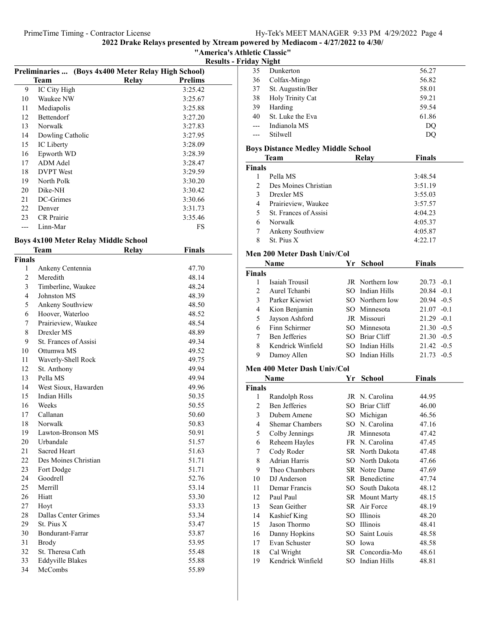# "America's Athletic Classic" Results - Frid

|    | Preliminaries  (Boys 4x400 Meter Relay High School) |       |                |  |  |
|----|-----------------------------------------------------|-------|----------------|--|--|
|    | Team                                                | Relay | <b>Prelims</b> |  |  |
| 9  | IC City High                                        |       | 3:25.42        |  |  |
| 10 | Waukee NW                                           |       | 3:25.67        |  |  |
| 11 | Mediapolis                                          |       | 3:25.88        |  |  |
| 12 | <b>Bettendorf</b>                                   |       | 3:27.20        |  |  |
| 13 | Norwalk                                             |       | 3:27.83        |  |  |
| 14 | Dowling Catholic                                    |       | 3:27.95        |  |  |
| 15 | IC Liberty                                          |       | 3:28.09        |  |  |
| 16 | Epworth WD                                          |       | 3:28.39        |  |  |
| 17 | ADM Adel                                            |       | 3:28.47        |  |  |
| 18 | <b>DVPT</b> West                                    |       | 3:29.59        |  |  |
| 19 | North Polk                                          |       | 3:30.20        |  |  |
| 20 | Dike-NH                                             |       | 3:30.42        |  |  |
| 21 | DC-Grimes                                           |       | 3:30.66        |  |  |
| 22 | Denver                                              |       | 3:31.73        |  |  |
| 23 | <b>CR</b> Prairie                                   |       | 3:35.46        |  |  |
|    | Linn-Mar                                            |       | FS             |  |  |
|    |                                                     |       |                |  |  |

# Boys 4x100 Meter Relay Middle School

|                | Team                    | Relay | Finals |
|----------------|-------------------------|-------|--------|
| <b>Finals</b>  |                         |       |        |
| 1              | Ankeny Centennia        |       | 47.70  |
| $\overline{c}$ | Meredith                |       | 48.14  |
| 3              | Timberline, Waukee      |       | 48.24  |
| $\overline{4}$ | Johnston MS             |       | 48.39  |
| 5              | Ankeny Southview        |       | 48.50  |
| 6              | Hoover, Waterloo        |       | 48.52  |
| 7              | Prairieview, Waukee     |       | 48.54  |
| 8              | Drexler MS              |       | 48.89  |
| 9              | St. Frances of Assisi   |       | 49.34  |
| 10             | Ottumwa MS              |       | 49.52  |
| 11             | Waverly-Shell Rock      |       | 49.75  |
| 12             | St. Anthony             |       | 49.94  |
| 13             | Pella MS                |       | 49.94  |
| 14             | West Sioux, Hawarden    |       | 49.96  |
| 15             | <b>Indian Hills</b>     |       | 50.35  |
| 16             | Weeks                   |       | 50.55  |
| 17             | Callanan                |       | 50.60  |
| 18             | Norwalk                 |       | 50.83  |
| 19             | Lawton-Bronson MS       |       | 50.91  |
| 20             | Urbandale               |       | 51.57  |
| 21             | <b>Sacred Heart</b>     |       | 51.63  |
| 22             | Des Moines Christian    |       | 51.71  |
| 23             | Fort Dodge              |       | 51.71  |
| 24             | Goodrell                |       | 52.76  |
| 25             | Merrill                 |       | 53.14  |
| 26             | Hiatt                   |       | 53.30  |
| 27             | Hoyt                    |       | 53.33  |
| 28             | Dallas Center Grimes    |       | 53.34  |
| 29             | St. Pius X              |       | 53.47  |
| 30             | Bondurant-Farrar        |       | 53.87  |
| 31             | <b>Brody</b>            |       | 53.95  |
| 32             | St. Theresa Cath        |       | 55.48  |
| 33             | <b>Eddyville Blakes</b> |       | 55.88  |
| 34             | McCombs                 |       | 55.89  |

|       | dav Night                                          |       |
|-------|----------------------------------------------------|-------|
| 35    | Dunkerton                                          | 56.27 |
| 36    | Colfax-Mingo                                       | 56.82 |
| 37    | St. Augustin/Ber                                   | 58.01 |
| 38    | Holy Trinity Cat                                   | 59.21 |
| 39    | Harding                                            | 59.54 |
| 40    | St. Luke the Eva                                   | 61.86 |
| $---$ | Indianola MS                                       | DQ    |
|       | Stilwell                                           | DO    |
|       | ш<br><b>R.</b><br><b>A</b><br>. .<br>$\sim$ $\sim$ |       |

# Boys Distance Medley Middle School

|                | Team                  | Relay | <b>Finals</b> |  |
|----------------|-----------------------|-------|---------------|--|
| <b>Finals</b>  |                       |       |               |  |
|                | Pella MS              |       | 3:48.54       |  |
| $\mathfrak{D}$ | Des Moines Christian  |       | 3:51.19       |  |
| 3              | Drexler MS            |       | 3:55.03       |  |
| 4              | Prairieview, Waukee   |       | 3:57.57       |  |
| 5.             | St. Frances of Assisi |       | 4:04.23       |  |
| 6              | Norwalk               |       | 4:05.37       |  |
| 7              | Ankeny Southview      |       | 4:05.87       |  |
| 8              | St. Pius X            |       | 4:22.17       |  |

# Men 200 Meter Dash Univ/Col

|               | <b>Name</b>          | Yr School              | <b>Finals</b> |
|---------------|----------------------|------------------------|---------------|
| <b>Finals</b> |                      |                        |               |
|               | Isaiah Trousil       | <b>JR</b> Northern Iow | $20.73 - 0.1$ |
| $\mathcal{D}$ | Aurel Tchanbi        | SO Indian Hills        | $20.84 - 0.1$ |
| $\mathbf{3}$  | Parker Kiewiet       | SO Northern Iow        | $20.94 - 0.5$ |
| 4             | Kion Benjamin        | SO Minnesota           | $21.07 - 0.1$ |
| 5             | Jayson Ashford       | JR Missouri            | $21.29 - 0.1$ |
| 6             | Finn Schirmer        | SO Minnesota           | $21.30 - 0.5$ |
| 7             | <b>Ben Jefferies</b> | SO Briar Cliff         | $21.30 - 0.5$ |
| 8             | Kendrick Winfield    | SO Indian Hills        | $21.42 - 0.5$ |
| 9             | Damoy Allen          | SO Indian Hills        | $21.73 - 0.5$ |

### Men 400 Meter Dash Univ/Col

|               | Name                   | Yr  | <b>School</b>         | <b>Finals</b> |  |
|---------------|------------------------|-----|-----------------------|---------------|--|
| <b>Finals</b> |                        |     |                       |               |  |
| 1             | Randolph Ross          |     | JR N. Carolina        | 44.95         |  |
| 2             | <b>Ben Jefferies</b>   | SO  | Briar Cliff           | 46.00         |  |
| 3             | Dubem Amene            | SO. | Michigan              | 46.56         |  |
| 4             | <b>Shemar Chambers</b> |     | SO N. Carolina        | 47.16         |  |
| 5             | Colby Jennings         |     | JR Minnesota          | 47.42         |  |
| 6             | Reheem Hayles          |     | FR N. Carolina        | 47.45         |  |
| 7             | Cody Roder             |     | SR North Dakota       | 47.48         |  |
| 8             | Adrian Harris          |     | SO North Dakota       | 47.66         |  |
| 9             | Theo Chambers          |     | SR Notre Dame         | 47.69         |  |
| 10            | DJ Anderson            |     | SR Benedictine        | 47.74         |  |
| 11            | Demar Francis          |     | SO South Dakota       | 48.12         |  |
| 12            | Paul Paul              |     | <b>SR</b> Mount Marty | 48.15         |  |
| 13            | Sean Geither           |     | SR Air Force          | 48.19         |  |
| 14            | Kashief King           | SO  | Illinois              | 48.20         |  |
| 15            | Jason Thormo           | SO. | Illinois              | 48.41         |  |
| 16            | Danny Hopkins          | SO. | Saint Louis           | 48.58         |  |
| 17            | Evan Schuster          | SO  | Iowa                  | 48.58         |  |
| 18            | Cal Wright             |     | SR Concordia-Mo       | 48.61         |  |
| 19            | Kendrick Winfield      |     | SO Indian Hills       | 48.81         |  |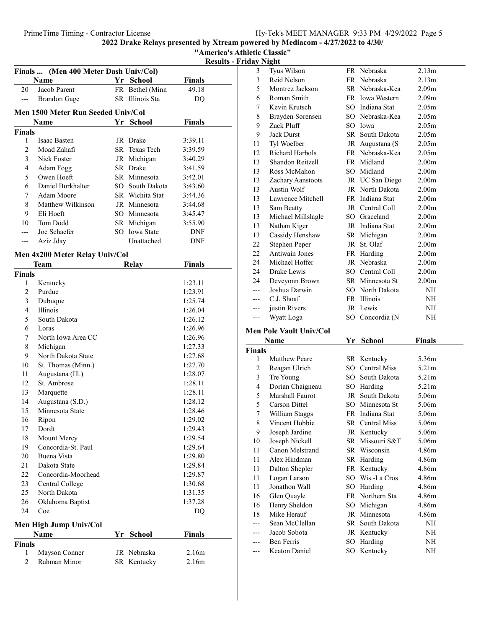| "America's Athletic Classic" |  |
|------------------------------|--|
|------------------------------|--|

Results - Friday Night

|                | Finals  (Men 400 Meter Dash Univ/Col) |    |                 |               |
|----------------|---------------------------------------|----|-----------------|---------------|
|                | Name                                  |    | Yr School       | <b>Finals</b> |
| 20             | Jacob Parent                          |    | FR Bethel (Minn | 49.18         |
| ---            | <b>Brandon</b> Gage                   |    | SR Illinois Sta | DQ            |
|                | Men 1500 Meter Run Seeded Univ/Col    |    |                 |               |
|                | <b>Name</b>                           |    | Yr School       | <b>Finals</b> |
| Finals         |                                       |    |                 |               |
| 1              | Isaac Basten                          |    | JR Drake        | 3:39.11       |
| $\overline{c}$ | Moad Zahafi                           |    | SR Texas Tech   | 3:39.59       |
| 3              | Nick Foster                           |    | JR Michigan     | 3:40.29       |
| $\overline{4}$ | Adam Fogg                             |    | SR Drake        | 3:41.59       |
| 5              | Owen Hoeft                            |    | SR Minnesota    | 3:42.01       |
| 6              | Daniel Burkhalter                     |    | SO South Dakota | 3:43.60       |
| 7              | Adam Moore                            |    | SR Wichita Stat | 3:44.36       |
| 8              | Matthew Wilkinson                     |    | JR Minnesota    | 3:44.68       |
| 9              | Eli Hoeft                             |    | SO Minnesota    | 3:45.47       |
| 10             | Tom Dodd                              |    | SR Michigan     | 3:55.90       |
| ---            | Joe Schaefer                          |    | SO Iowa State   | DNF           |
| ---            | Aziz Jday                             |    | Unattached      | DNF           |
|                | Men 4x200 Meter Relay Univ/Col        |    |                 |               |
|                | Team                                  |    | <b>Relay</b>    | <b>Finals</b> |
| Finals         |                                       |    |                 |               |
| 1              | Kentucky                              |    |                 | 1:23.11       |
| $\overline{c}$ | Purdue                                |    |                 | 1:23.91       |
| 3              | Dubuque                               |    |                 | 1:25.74       |
| $\overline{4}$ | Illinois                              |    |                 | 1:26.04       |
| 5              | South Dakota                          |    |                 | 1:26.12       |
| 6              | Loras                                 |    |                 | 1:26.96       |
| 7              | North Iowa Area CC                    |    |                 | 1:26.96       |
| 8              | Michigan                              |    |                 | 1:27.33       |
| 9              | North Dakota State                    |    |                 | 1:27.68       |
| 10             | St. Thomas (Minn.)                    |    |                 | 1:27.70       |
| 11             | Augustana (Ill.)                      |    |                 | 1:28.07       |
| 12             | St. Ambrose                           |    |                 | 1:28.11       |
| 13             | Marquette                             |    |                 | 1:28.11       |
| 14             | Augustana (S.D.)                      |    |                 | 1:28.12       |
| 15             | Minnesota State                       |    |                 | 1:28.46       |
| 16             | Ripon                                 |    |                 | 1:29.02       |
| 17             | Dordt                                 |    |                 | 1:29.43       |
| 18             | Mount Mercy                           |    |                 | 1:29.54       |
| 19             | Concordia-St. Paul                    |    |                 | 1:29.64       |
| 20             | Buena Vista                           |    |                 | 1:29.80       |
| 21             | Dakota State                          |    |                 | 1:29.84       |
| 22             | Concordia-Moorhead                    |    |                 | 1:29.87       |
| 23             | Central College                       |    |                 | 1:30.68       |
| 25             | North Dakota                          |    |                 | 1:31.35       |
| 26             | Oklahoma Baptist                      |    |                 | 1:37.28       |
| 24             | Coe                                   |    |                 | DQ            |
|                | <b>Men High Jump Univ/Col</b>         |    |                 |               |
|                | Name                                  | Yr | <b>School</b>   | <b>Finals</b> |
| <b>Finals</b>  |                                       |    |                 |               |
| 1              | Mayson Conner                         |    | JR Nebraska     | 2.16m         |
| $\overline{c}$ | Rahman Minor                          |    | SR Kentucky     | 2.16m         |
|                |                                       |    |                 |               |

|                | турни                          |      |                 |                   |  |
|----------------|--------------------------------|------|-----------------|-------------------|--|
| 3              | Tyus Wilson                    |      | FR Nebraska     | 2.13m             |  |
| 3              | Reid Nelson                    |      | FR Nebraska     | 2.13 <sub>m</sub> |  |
| 5              | Montrez Jackson                |      | SR Nebraska-Kea | 2.09 <sub>m</sub> |  |
| 6              | Roman Smith                    |      | FR Iowa Western | 2.09 <sub>m</sub> |  |
| 7              | Kevin Krutsch                  |      | SO Indiana Stat | 2.05 <sub>m</sub> |  |
| 8              | Brayden Sorensen               |      | SO Nebraska-Kea | 2.05 <sub>m</sub> |  |
| 9              | Zack Pluff                     |      | SO Iowa         | 2.05m             |  |
| 9              | <b>Jack Durst</b>              |      | SR South Dakota | 2.05 <sub>m</sub> |  |
| 11             | Tyl Woelber                    |      | JR Augustana (S | 2.05 <sub>m</sub> |  |
| 12             | Richard Harbols                |      | FR Nebraska-Kea | 2.05m             |  |
| 13             | Shandon Reitzell               |      | FR Midland      | 2.00 <sub>m</sub> |  |
| 13             | Ross McMahon                   |      | SO Midland      | 2.00 <sub>m</sub> |  |
| 13             | Zachary Aanstoots              |      | JR UC San Diego | 2.00 <sub>m</sub> |  |
| 13             | <b>Austin Wolf</b>             |      | JR North Dakota | 2.00 <sub>m</sub> |  |
| 13             | Lawrence Mitchell              |      | FR Indiana Stat | 2.00 <sub>m</sub> |  |
| 13             | Sam Beatty                     |      | JR Central Coll | 2.00 <sub>m</sub> |  |
| 13             | Michael Millslagle             |      | SO Graceland    | 2.00 <sub>m</sub> |  |
| 13             | Nathan Kiger                   |      | JR Indiana Stat | 2.00 <sub>m</sub> |  |
| 13             | Cassidy Henshaw                |      | SR Michigan     | 2.00 <sub>m</sub> |  |
| 22             | Stephen Peper                  | JR   | St. Olaf        | 2.00 <sub>m</sub> |  |
| 22             | Antiwain Jones                 |      | FR Harding      | 2.00 <sub>m</sub> |  |
| 24             | Michael Hoffer                 |      | JR Nebraska     | 2.00 <sub>m</sub> |  |
| 24             | Drake Lewis                    |      | SO Central Coll | 2.00 <sub>m</sub> |  |
| 24             | Deveyonn Brown                 |      | SR Minnesota St | 2.00 <sub>m</sub> |  |
| $---$          | Joshua Darwin                  |      | SO North Dakota | NH                |  |
| ---            | C.J. Shoaf                     |      | FR Illinois     | NH                |  |
| ---            | justin Rivers                  |      | JR Lewis        | NH                |  |
|                |                                |      |                 |                   |  |
|                |                                |      |                 |                   |  |
| ---            | Wyatt Loga                     |      | SO Concordia (N | NH                |  |
|                | <b>Men Pole Vault Univ/Col</b> |      |                 |                   |  |
|                | Name                           |      | Yr School       | <b>Finals</b>     |  |
| <b>Finals</b>  |                                |      |                 |                   |  |
| 1              | <b>Matthew Peare</b>           |      | SR Kentucky     | 5.36m             |  |
| 2              | Reagan Ulrich                  |      | SO Central Miss | 5.21 <sub>m</sub> |  |
| $\mathfrak{Z}$ | Tre Young                      |      | SO South Dakota | 5.21m             |  |
| 4              | Dorian Chaigneau               |      | SO Harding      | 5.21m             |  |
| 5              | Marshall Faurot                |      | JR South Dakota | 5.06m             |  |
| 5              | Carson Dittel                  |      | SO Minnesota St | 5.06m             |  |
| 7              | William Staggs                 |      | FR Indiana Stat | 5.06m             |  |
| 8              | Vincent Hobbie                 |      | SR Central Miss | 5.06m             |  |
| 9              | Joseph Jardine                 |      | JR Kentucky     | 5.06m             |  |
| 10             | Joseph Nickell                 |      | SR Missouri S&T | 5.06m             |  |
| 11             | Canon Melstrand                |      | SR Wisconsin    | 4.86m             |  |
| 11             | Alex Hindman                   |      | SR Harding      | 4.86m             |  |
| 11             | Dalton Shepler                 |      | FR Kentucky     | 4.86m             |  |
| 11             | Logan Larson                   | SO - | Wis.-La Cros    | 4.86m             |  |
| 11             | Jonathon Wall                  |      | SO Harding      | 4.86m             |  |
| 16             | Glen Quayle                    |      | FR Northern Sta | 4.86m             |  |
| 16             | Henry Sheldon                  |      | SO Michigan     | 4.86m             |  |
| 18             | Mike Herauf                    |      | JR Minnesota    | 4.86m             |  |
| ---            | Sean McClellan                 |      | SR South Dakota | NΗ                |  |
|                | Jacob Sobota                   |      | JR Kentucky     | NH                |  |
|                | Ben Ferris                     | SO   | Harding         | NΗ                |  |